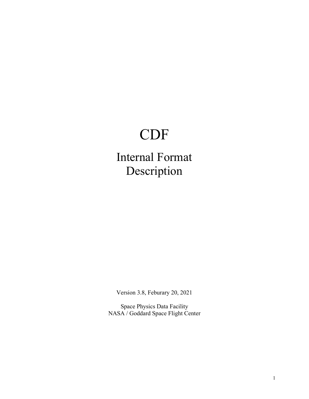# CDF

Internal Format Description

Version 3.8, Feburary 20, 2021

Space Physics Data Facility NASA / Goddard Space Flight Center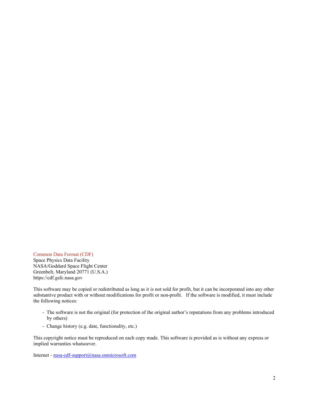Common Data Format (CDF) Space Physics Data Facility NASA/Goddard Space Flight Center Greenbelt, Maryland 20771 (U.S.A.) https://cdf.gsfc.nasa.gov

This software may be copied or redistributed as long as it is not sold for profit, but it can be incorporated into any other substantive product with or without modifications for profit or non-profit. If the software is modified, it must include the following notices:

- The software is not the original (for protection of the original author's reputations from any problems introduced by others)
- Change history (e.g. date, functionality, etc.)

This copyright notice must be reproduced on each copy made. This software is provided as is without any express or implied warranties whatsoever.

Internet - [nasa-cdf-support@nasa.onmicrosoft.com](mailto:nasa-cdf-support@nasa.onmicrosoft.comv)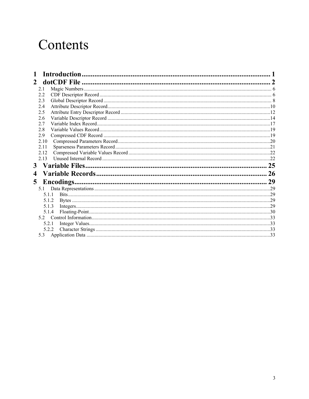# Contents

| <b>Introduction</b>    |    |
|------------------------|----|
| 2                      |    |
| 2.1                    |    |
| 2.2                    |    |
| 2.3                    |    |
| 2.4                    |    |
| 2.5                    |    |
| 2.6                    |    |
| 2.7                    |    |
| 2.8                    |    |
| 2.9                    |    |
| 2.10                   |    |
| 2.11                   |    |
| 2.12                   |    |
| 2.13                   |    |
|                        | 25 |
| 4                      | 26 |
| <b>Encodings.</b><br>5 |    |
| 5.1                    |    |
| 5.1.1                  |    |
| 5.1.2                  |    |
| 5.1.3                  |    |
| 5.1.4                  |    |
|                        |    |
| 5.2.1                  |    |
| 5.2.2                  |    |
|                        |    |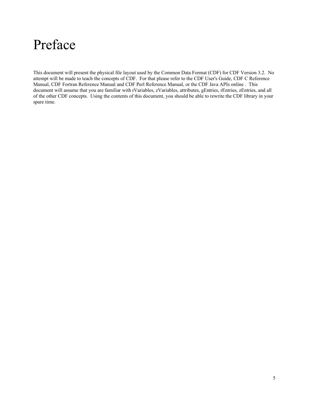# Preface

This document will present the physical file layout used by the Common Data Format (CDF) for CDF Version 3.2. No attempt will be made to teach the concepts of CDF. For that please refer to the CDF User's Guide, CDF C Reference Manual, CDF Fortran Reference Manual and CDF Perl Reference Manual, or the CDF Java APIs online . This document will assume that you are familiar with rVariables, zVariables, attributes, gEntries, rEntries, zEntries, and all of the other CDF concepts. Using the contents of this document, you should be able to rewrite the CDF library in your spare time.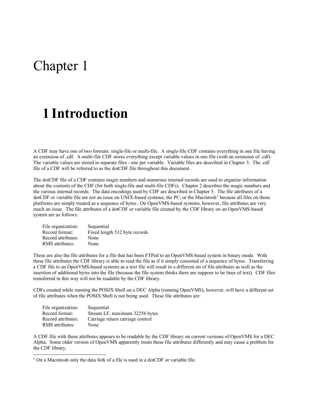# Chapter 1

# **1 Introduction**

A CDF may have one of two formats: single-file or multi-file. A single-file CDF contains everything in one file having an extension of .cdf. A multi-file CDF stores everything except variable values in one file (with an extension of .cdf). The variable values are stored in separate files - one per variable. Variable files are described in Chapter [3.](#page-29-0) The .cdf file of a CDF will be referred to as the dotCDF file throughout this document.

The dotCDF file of a CDF contains magic numbers and numerous internal records are used to organize information about the contents of the CDF (for both single-file and multi-file CDFs). Chapter [2](#page-6-0) describes the magic numbers and the various internal records. The data encodings used by CDF are described in Chapter [5.](#page-33-0) The file attributes of a  $dot$ CDF or variable file are not an issue on UNIX-based systems, the PC, or the Macintosh<sup>[1](#page-5-0)</sup> because all files on those platforms are simply treated as a sequence of bytes. On OpenVMS-based systems, however, file attributes are very much an issue. The file attributes of a dotCDF or variable file created by the CDF library on an OpenVMS-based system are as follows:

| File organization: | Sequential                    |
|--------------------|-------------------------------|
| Record format:     | Fixed length 512 byte records |
| Record attributes: | None                          |
| RMS attributes:    | None                          |

These are also the file attributes for a file that has been FTPed to an OpenVMS-based system in binary mode. With these file attributes the CDF library is able to read the file as if it simply consisted of a sequence of bytes. Transferring a CDF file to an OpenVMS-based systems as a text file will result in a different set of file attributes as well as the insertion of additional bytes into the file (because the file system thinks there are suppose to be lines of text). CDF files transferred in this way will not be readable by the CDF library.

CDFs created while running the POSIX Shell on a DEC Alpha (running OpenVMS), however, will have a different set of file attributes when the POSIX Shell is not being used. These file attributes are:

| File organization: | Sequential                       |
|--------------------|----------------------------------|
| Record format:     | Stream LF, maximum 32256 bytes   |
| Record attributes: | Carriage return carriage control |
| RMS attributes:    | None                             |

A CDF file with these attributes appears to be readable by the CDF library on current versions of OpenVMS for a DEC Alpha. Some older version of OpenVMS apparently treats these file attributes differently and may cause a problem for the CDF library.

<span id="page-5-0"></span><sup>&</sup>lt;sup>1</sup> On a Macintosh only the data fork of a file is used in a dotCDF or variable file.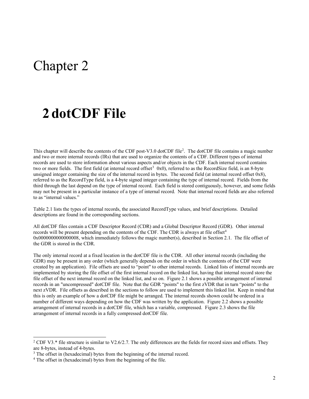# Chapter 2

# <span id="page-6-0"></span>**2 dotCDF File**

This chapter will describe the contents of the CDF post-V3.0 dotCDF file<sup>[2](#page-6-1)</sup>. The dotCDF file contains a magic number and two or more internal records (IRs) that are used to organize the contents of a CDF. Different types of internal records are used to store information about various aspects and/or objects in the CDF. Each internal record contains two or more fields. The first field (at internal record offset<sup>[3](#page-6-2)</sup> 0x0), referred to as the RecordSize field, is an 8-byte unsigned integer containing the size of the internal record in bytes. The second field (at internal record offset 0x8), referred to as the RecordType field, is a 4-byte signed integer containing the type of internal record. Fields from the third through the last depend on the type of internal record. Each field is stored contiguously, however, and some fields may not be present in a particular instance of a type of internal record. Note that internal record fields are also referred to as "internal values."

Table 2.1 lists the types of internal records, the associated RecordType values, and brief descriptions. Detailed descriptions are found in the corresponding sections.

All dotCDF files contain a CDF Descriptor Record (CDR) and a Global Descriptor Record (GDR). Other internal records will be present depending on the contents of the CDF. The CDR is always at file offset<sup>[4](#page-6-3)</sup> 0x0000000000000008, which immediately follows the magic number(s), described in Section 2.1. The file offset of the GDR is stored in the CDR.

The only internal record at a fixed location in the dotCDF file is the CDR. All other internal records (including the GDR) may be present in any order (which generally depends on the order in which the contents of the CDF were created by an application). File offsets are used to "point" to other internal records. Linked lists of internal records are implemented by storing the file offset of the first internal record on the linked list, having that internal record store the file offset of the next internal record on the linked list, and so on. Figure 2.1 shows a possible arrangement of internal records in an "uncompressed" dotCDF file. Note that the GDR "points" to the first zVDR that in turn "points" to the next zVDR. File offsets as described in the sections to follow are used to implement this linked list. Keep in mind that this is only an example of how a dotCDF file might be arranged. The internal records shown could be ordered in a number of different ways depending on how the CDF was written by the application. Figure 2.2 shows a possible arrangement of internal records in a dotCDF file, which has a variable, compressed. Figure 2.3 shows the file arrangement of internal records in a fully compressed dotCDF file.

<span id="page-6-1"></span><sup>&</sup>lt;sup>2</sup> CDF V3.<sup>\*</sup> file structure is similar to V2.6/2.7. The only differences are the fields for record sizes and offsets. They are 8-bytes, instead of 4-bytes.

<span id="page-6-2"></span><sup>&</sup>lt;sup>3</sup> The offset in (hexadecimal) bytes from the beginning of the internal record.

<span id="page-6-3"></span><sup>4</sup> The offset in (hexadecimal) bytes from the beginning of the file.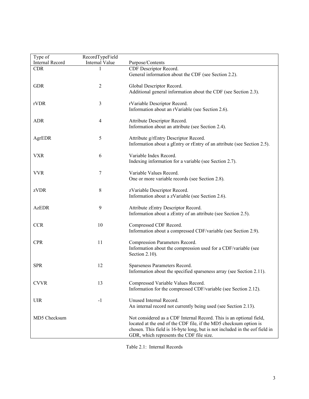| Type of         | RecordTypeField       |                                                                                                                                                                                                                                                                     |
|-----------------|-----------------------|---------------------------------------------------------------------------------------------------------------------------------------------------------------------------------------------------------------------------------------------------------------------|
| Internal Record | <b>Internal Value</b> | Purpose/Contents                                                                                                                                                                                                                                                    |
| <b>CDR</b>      |                       | CDF Descriptor Record.<br>General information about the CDF (see Section 2.2).                                                                                                                                                                                      |
| <b>GDR</b>      | $\overline{2}$        | Global Descriptor Record.<br>Additional general information about the CDF (see Section 2.3).                                                                                                                                                                        |
| rVDR            | 3                     | rVariable Descriptor Record.<br>Information about an rVariable (see Section 2.6).                                                                                                                                                                                   |
| <b>ADR</b>      | 4                     | Attribute Descriptor Record.<br>Information about an attribute (see Section 2.4).                                                                                                                                                                                   |
| AgrEDR          | 5                     | Attribute g/rEntry Descriptor Record.<br>Information about a gEntry or rEntry of an attribute (see Section 2.5).                                                                                                                                                    |
| <b>VXR</b>      | 6                     | Variable Index Record.<br>Indexing information for a variable (see Section 2.7).                                                                                                                                                                                    |
| <b>VVR</b>      | 7                     | Variable Values Record.<br>One or more variable records (see Section 2.8).                                                                                                                                                                                          |
| zVDR            | 8                     | zVariable Descriptor Record.<br>Information about a zVariable (see Section 2.6).                                                                                                                                                                                    |
| <b>AzEDR</b>    | 9                     | Attribute zEntry Descriptor Record.<br>Information about a zEntry of an attribute (see Section 2.5).                                                                                                                                                                |
| <b>CCR</b>      | 10                    | Compressed CDF Record.<br>Information about a compressed CDF/variable (see Section 2.9).                                                                                                                                                                            |
| <b>CPR</b>      | 11                    | Compression Parameters Record.<br>Information about the compression used for a CDF/variable (see<br>Section 2.10).                                                                                                                                                  |
| <b>SPR</b>      | 12                    | Sparseness Parameters Record.<br>Information about the specified sparseness array (see Section 2.11).                                                                                                                                                               |
| <b>CVVR</b>     | 13                    | Compressed Variable Values Record.<br>Information for the compressed CDF/variable (see Section 2.12).                                                                                                                                                               |
| <b>UIR</b>      | $-1$                  | Unused Internal Record.<br>An internal record not currently being used (see Section 2.13).                                                                                                                                                                          |
| MD5 Checksum    |                       | Not considered as a CDF Internal Record. This is an optional field,<br>located at the end of the CDF file, if the MD5 checksum option is<br>chosen. This field is 16-byte long, but is not included in the eof field in<br>GDR, which represents the CDF file size. |

Table 2.1: Internal Records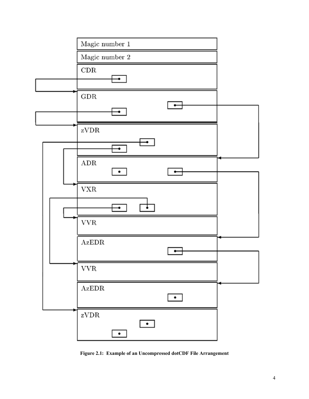

**Figure 2.1: Example of an Uncompressed dotCDF File Arrangement**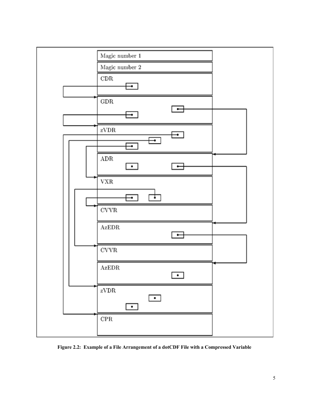

**Figure 2.2: Example of a File Arrangement of a dotCDF File with a Compressed Variable**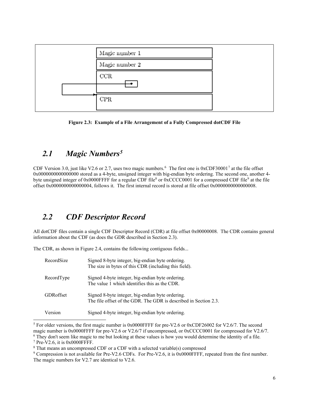

**Figure 2.3: Example of a File Arrangement of a Fully Compressed dotCDF File**

## *2.1 Magic Numbers[5](#page-10-0)*

CDF Version 3.0, just like V2.[6](#page-10-1) or 2.[7](#page-10-2), uses two magic numbers.<sup>6</sup> The first one is  $0xCDF30001^7$  at the file offset 0x0000000000000000 stored as a 4-byte, unsigned integer with big-endian byte ordering. The second one, another 4- byte unsigned integer of 0x0000FFFF for a regular CDF file<sup>[8](#page-10-3)</sup> or 0xCCCC0001 for a compressed CDF file<sup>9</sup> at the file offset 0x0000000000000004, follows it. The first internal record is stored at file offset 0x0000000000000008.

## *2.2 CDF Descriptor Record*

All dotCDF files contain a single CDF Descriptor Record (CDR) at file offset 0x00000008. The CDR contains general information about the CDF (as does the GDR described in Section 2.3).

The CDR, as shown in Figure 2.4, contains the following contiguous fields...

| RecordSize        | Signed 8-byte integer, big-endian byte ordering.<br>The size in bytes of this CDR (including this field).            |
|-------------------|----------------------------------------------------------------------------------------------------------------------|
| RecordType        | Signed 4-byte integer, big-endian byte ordering.<br>The value 1 which identifies this as the CDR.                    |
| <b>GDR</b> offset | Signed 8-byte integer, big-endian byte ordering.<br>The file offset of the GDR. The GDR is described in Section 2.3. |
| Version           | Signed 4-byte integer, big-endian byte ordering.                                                                     |

<span id="page-10-0"></span><sup>5</sup> For older versions, the first magic number is 0x0000FFFF for pre-V2.6 or 0xCDF26002 for V2.6/7. The second magic number is 0x0000FFFF for pre-V2.6 or V2.6/7 if uncompressed, or 0xCCCC0001 for compressed for V2.6/7.

<span id="page-10-1"></span><sup>6</sup> They don't seem like magic to me but looking at these values is how you would determine the identity of a file.

<span id="page-10-2"></span><sup>7</sup> Pre-V2.6, it is 0x0000FFFF.

<span id="page-10-3"></span><sup>8</sup> That means an uncompressed CDF or a CDF with a selected variable(s) compressed

<span id="page-10-4"></span><sup>9</sup> Compression is not available for Pre-V2.6 CDFs. For Pre-V2.6, it is 0x0000FFFF, repeated from the first number. The magic numbers for V2.7 are identical to V2.6.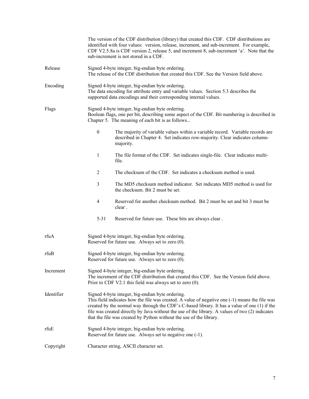|            |                                                                                                                                                                                                                                                                                                                                                                                                                               | The version of the CDF distribution (library) that created this CDF. CDF distributions are<br>identified with four values: version, release, increment, and sub-increment. For example,<br>CDF V2.5.8a is CDF version 2, release 5, and increment 8, sub-increment 'a'. Note that the<br>sub-increment is not stored in a CDF. |  |  |
|------------|-------------------------------------------------------------------------------------------------------------------------------------------------------------------------------------------------------------------------------------------------------------------------------------------------------------------------------------------------------------------------------------------------------------------------------|--------------------------------------------------------------------------------------------------------------------------------------------------------------------------------------------------------------------------------------------------------------------------------------------------------------------------------|--|--|
| Release    |                                                                                                                                                                                                                                                                                                                                                                                                                               | Signed 4-byte integer, big-endian byte ordering.<br>The release of the CDF distribution that created this CDF. See the Version field above.                                                                                                                                                                                    |  |  |
| Encoding   |                                                                                                                                                                                                                                                                                                                                                                                                                               | Signed 4-byte integer, big-endian byte ordering.<br>The data encoding for attribute entry and variable values. Section 5.3 describes the<br>supported data encodings and their corresponding internal values.                                                                                                                  |  |  |
| Flags      | Signed 4-byte integer, big-endian byte ordering.<br>Boolean flags, one per bit, describing some aspect of the CDF. Bit numbering is described in<br>Chapter 5. The meaning of each bit is as follows                                                                                                                                                                                                                          |                                                                                                                                                                                                                                                                                                                                |  |  |
|            | $\boldsymbol{0}$                                                                                                                                                                                                                                                                                                                                                                                                              | The majority of variable values within a variable record. Variable records are<br>described in Chapter 4. Set indicates row-majority. Clear indicates column-<br>majority.                                                                                                                                                     |  |  |
|            | 1                                                                                                                                                                                                                                                                                                                                                                                                                             | The file format of the CDF. Set indicates single-file. Clear indicates multi-<br>file.                                                                                                                                                                                                                                         |  |  |
|            | $\overline{2}$                                                                                                                                                                                                                                                                                                                                                                                                                | The checksum of the CDF. Set indicates a checksum method is used.                                                                                                                                                                                                                                                              |  |  |
|            | 3                                                                                                                                                                                                                                                                                                                                                                                                                             | The MD5 checksum method indicator. Set indicates MD5 method is used for<br>the checksum. Bit 2 must be set.                                                                                                                                                                                                                    |  |  |
|            | $\overline{4}$                                                                                                                                                                                                                                                                                                                                                                                                                | Reserved for another checksum method. Bit 2 must be set and bit 3 must be<br>clear.                                                                                                                                                                                                                                            |  |  |
|            | $5 - 31$                                                                                                                                                                                                                                                                                                                                                                                                                      | Reserved for future use. These bits are always clear.                                                                                                                                                                                                                                                                          |  |  |
| rfuA       | Signed 4-byte integer, big-endian byte ordering.<br>Reserved for future use. Always set to zero (0).                                                                                                                                                                                                                                                                                                                          |                                                                                                                                                                                                                                                                                                                                |  |  |
| rfuB       | Signed 4-byte integer, big-endian byte ordering.<br>Reserved for future use. Always set to zero (0).                                                                                                                                                                                                                                                                                                                          |                                                                                                                                                                                                                                                                                                                                |  |  |
| Increment  | Signed 4-byte integer, big-endian byte ordering.<br>The increment of the CDF distribution that created this CDF. See the Version field above.<br>Prior to CDF V2.1 this field was always set to zero $(0)$ .                                                                                                                                                                                                                  |                                                                                                                                                                                                                                                                                                                                |  |  |
| Identifier | Signed 4-byte integer, big-endian byte ordering.<br>This field indicates how the file was created. A value of negative one (-1) means the file was<br>created by the normal way through the CDF's C-based library. It has a value of one (1) if the<br>file was created directly by Java without the use of the library. A values of two (2) indicates<br>that the file was created by Python without the use of the library. |                                                                                                                                                                                                                                                                                                                                |  |  |
| rfuE       | Signed 4-byte integer, big-endian byte ordering.<br>Reserved for future use. Always set to negative one (-1).                                                                                                                                                                                                                                                                                                                 |                                                                                                                                                                                                                                                                                                                                |  |  |
| Copyright  | Character string, ASCII character set.                                                                                                                                                                                                                                                                                                                                                                                        |                                                                                                                                                                                                                                                                                                                                |  |  |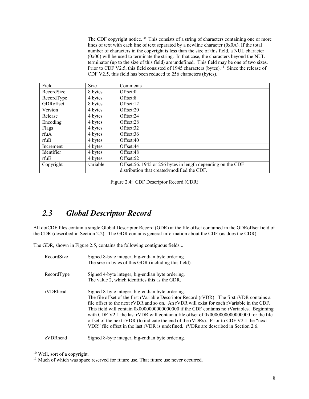The CDF copyright notice.<sup>[10](#page-12-0)</sup> This consists of a string of characters containing one or more lines of text with each line of text separated by a newline character (0x0A). If the total number of characters in the copyright is less than the size of this field, a NUL character (0x00) will be used to terminate the string. In that case, the characters beyond the NULterminator (up to the size of this field) are undefined. This field may be one of two sizes. Prior to CDF V2.5, this field consisted of 1945 characters (bytes).<sup>[11](#page-12-1)</sup> Since the release of CDF V2.5, this field has been reduced to 256 characters (bytes).

| Field      | Size     | Comments                                                     |
|------------|----------|--------------------------------------------------------------|
| RecordSize | 8 bytes  | Offset:0                                                     |
| RecordType | 4 bytes  | Offset:8                                                     |
| GDRoffset  | 8 bytes  | Offset:12                                                    |
| Version    | 4 bytes  | Offset:20                                                    |
| Release    | 4 bytes  | Offset:24                                                    |
| Encoding   | 4 bytes  | Offset:28                                                    |
| Flags      | 4 bytes  | Offset:32                                                    |
| rfuA       | 4 bytes  | Offset:36                                                    |
| rfuB       | 4 bytes  | Offset:40                                                    |
| Increment  | 4 bytes  | Offset:44                                                    |
| Identifier | 4 bytes  | Offset:48                                                    |
| rfuE       | 4 bytes  | Offset:52                                                    |
| Copyright  | variable | Offset: 56. 1945 or 256 bytes in length depending on the CDF |
|            |          | distribution that created/modified the CDF.                  |

Figure 2.4: CDF Descriptor Record (CDR)

## *2.3 Global Descriptor Record*

All dotCDF files contain a single Global Descriptor Record (GDR) at the file offset contained in the GDRoffset field of the CDR (described in Section 2.2). The GDR contains general information about the CDF (as does the CDR).

The GDR, shown in Figure 2.5, contains the following contiguous fields...

| RecordSize | Signed 8-byte integer, big-endian byte ordering.<br>The size in bytes of this GDR (including this field).                                                                                                                                                                                                                                                                                                                                                                                                                                                                                                                |
|------------|--------------------------------------------------------------------------------------------------------------------------------------------------------------------------------------------------------------------------------------------------------------------------------------------------------------------------------------------------------------------------------------------------------------------------------------------------------------------------------------------------------------------------------------------------------------------------------------------------------------------------|
| RecordType | Signed 4-byte integer, big-endian byte ordering.<br>The value 2, which identifies this as the GDR.                                                                                                                                                                                                                                                                                                                                                                                                                                                                                                                       |
| rVDRhead   | Signed 8-byte integer, big-endian byte ordering.<br>The file offset of the first rVariable Descriptor Record (rVDR). The first rVDR contains a<br>file offset to the next rVDR and so on. An rVDR will exist for each rVariable in the CDF.<br>This field will contain 0x0000000000000000 if the CDF contains no rVariables. Beginning<br>with CDF V2.1 the last rVDR will contain a file offset of $0x0000000000000000$ for the file<br>offset of the next rVDR (to indicate the end of the rVDRs). Prior to CDF V2.1 the "next"<br>VDR" file offset in the last rVDR is undefined. rVDRs are described in Section 2.6. |
| zVDRhead   | Signed 8-byte integer, big-endian byte ordering.                                                                                                                                                                                                                                                                                                                                                                                                                                                                                                                                                                         |

<span id="page-12-0"></span><sup>10</sup> Well, sort of a copyright.

<span id="page-12-1"></span><sup>&</sup>lt;sup>11</sup> Much of which was space reserved for future use. That future use never occurred.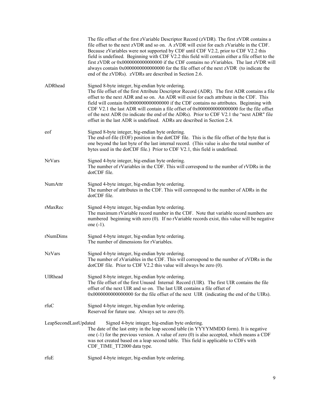|                       | The file offset of the first zVariable Descriptor Record (zVDR). The first zVDR contains a<br>file offset to the next zVDR and so on. A zVDR will exist for each zVariable in the CDF.<br>Because zVariables were not supported by CDF until CDF V2.2, prior to CDF V2.2 this<br>field is undefined. Beginning with CDF V2.2 this field will contain either a file offset to the<br>first zVDR or 0x0000000000000000 if the CDF contains no zVariables. The last zVDR will<br>always contain 0x0000000000000000 for the file offset of the next zVDR (to indicate the<br>end of the zVDRs). zVDRs are described in Section 2.6. |
|-----------------------|---------------------------------------------------------------------------------------------------------------------------------------------------------------------------------------------------------------------------------------------------------------------------------------------------------------------------------------------------------------------------------------------------------------------------------------------------------------------------------------------------------------------------------------------------------------------------------------------------------------------------------|
| ADRhead               | Signed 8-byte integer, big-endian byte ordering.<br>The file offset of the first Attribute Descriptor Record (ADR). The first ADR contains a file<br>offset to the next ADR and so on. An ADR will exist for each attribute in the CDF. This<br>field will contain 0x00000000000000000 if the CDF contains no attributes. Beginning with<br>CDF V2.1 the last ADR will contain a file offset of 0x0000000000000000 for the file offset<br>of the next ADR (to indicate the end of the ADRs). Prior to CDF V2.1 the "next ADR" file<br>offset in the last ADR is undefined. ADRs are described in Section 2.4.                   |
| eof                   | Signed 8-byte integer, big-endian byte ordering.<br>The end-of-file (EOF) position in the dotCDF file. This is the file offset of the byte that is<br>one beyond the last byte of the last internal record. (This value is also the total number of<br>bytes used in the dotCDF file.) Prior to CDF V2.1, this field is undefined.                                                                                                                                                                                                                                                                                              |
| <b>NrVars</b>         | Signed 4-byte integer, big-endian byte ordering.<br>The number of rVariables in the CDF. This will correspond to the number of rVDRs in the<br>dotCDF file.                                                                                                                                                                                                                                                                                                                                                                                                                                                                     |
| NumAttr               | Signed 4-byte integer, big-endian byte ordering.<br>The number of attributes in the CDF. This will correspond to the number of ADRs in the<br>dotCDF file.                                                                                                                                                                                                                                                                                                                                                                                                                                                                      |
| rMaxRec               | Signed 4-byte integer, big-endian byte ordering.<br>The maximum rVariable record number in the CDF. Note that variable record numbers are<br>numbered beginning with zero (0). If no rVariable records exist, this value will be negative<br>one $(-1)$ .                                                                                                                                                                                                                                                                                                                                                                       |
| rNumDims              | Signed 4-byte integer, big-endian byte ordering.<br>The number of dimensions for rVariables.                                                                                                                                                                                                                                                                                                                                                                                                                                                                                                                                    |
| <b>NzVars</b>         | Signed 4-byte integer, big-endian byte ordering.<br>The number of zVariables in the CDF. This will correspond to the number of zVDRs in the<br>dotCDF file. Prior to CDF V2.2 this value will always be zero (0).                                                                                                                                                                                                                                                                                                                                                                                                               |
| UIRhead               | Signed 8-byte integer, big-endian byte ordering.<br>The file offset of the first Unused Internal Record (UIR). The first UIR contains the file<br>offset of the next UIR and so on. The last UIR contains a file offset of<br>0x00000000000000000 for the file offset of the next UIR (indicating the end of the UIRs).                                                                                                                                                                                                                                                                                                         |
| rfuC                  | Signed 4-byte integer, big-endian byte ordering.<br>Reserved for future use. Always set to zero $(0)$ .                                                                                                                                                                                                                                                                                                                                                                                                                                                                                                                         |
| LeapSecondLastUpdated | Signed 4-byte integer, big-endian byte ordering.<br>The date of the last entry in the leap second table (in YYYYMMDD form). It is negative<br>one $(-1)$ for the previous version. A value of zero $(0)$ is also accepted, which means a CDF<br>was not created based on a leap second table. This field is applicable to CDFs with<br>CDF_TIME_TT2000 data type.                                                                                                                                                                                                                                                               |
| rfuE                  | Signed 4-byte integer, big-endian byte ordering.                                                                                                                                                                                                                                                                                                                                                                                                                                                                                                                                                                                |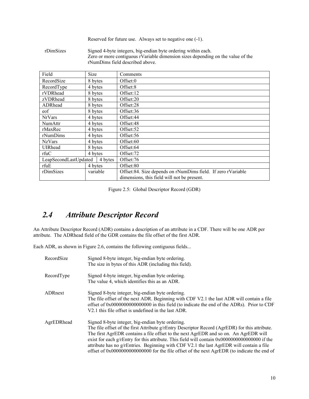|           | Reserved for future use. Always set to negative one (-1).                                                                                                                           |  |
|-----------|-------------------------------------------------------------------------------------------------------------------------------------------------------------------------------------|--|
| rDimSizes | Signed 4-byte integers, big-endian byte ordering within each.<br>Zero or more contiguous rVariable dimension sizes depending on the value of the<br>rNumDims field described above. |  |
| DI 11     |                                                                                                                                                                                     |  |

| Field                 | Size     | Comments                                                     |
|-----------------------|----------|--------------------------------------------------------------|
| RecordSize            | 8 bytes  | Offset:0                                                     |
| RecordType            | 4 bytes  | Offset:8                                                     |
| rVDRhead              | 8 bytes  | Offset:12                                                    |
| zVDRhead              | 8 bytes  | Offset:20                                                    |
| ADRhead               | 8 bytes  | Offset:28                                                    |
| eof                   | 8 bytes  | Offset:36                                                    |
| <b>NrVars</b>         | 4 bytes  | Offset:44                                                    |
| NumAttr               | 4 bytes  | Offset:48                                                    |
| rMaxRec               | 4 bytes  | Offset:52                                                    |
| rNumDims              | 4 bytes  | Offset:56                                                    |
| <b>NzVars</b>         | 4 bytes  | Offset:60                                                    |
| UIRhead               | 8 bytes  | Offset:64                                                    |
| rfuC                  | 4 bytes  | Offset:72                                                    |
| LeapSecondLastUpdated | 4 bytes  | Offset:76                                                    |
| rfuE                  | 4 bytes  | Offset:80                                                    |
| rDimSizes             | variable | Offset:84. Size depends on rNumDims field. If zero rVariable |
|                       |          | dimensions, this field will not be present.                  |

Figure 2.5: Global Descriptor Record (GDR)

# *2.4 Attribute Descriptor Record*

An Attribute Descriptor Record (ADR) contains a description of an attribute in a CDF. There will be one ADR per attribute. The ADRhead field of the GDR contains the file offset of the first ADR.

Each ADR, as shown in Figure 2.6, contains the following contiguous fields...

| RecordSize | Signed 8-byte integer, big-endian byte ordering.<br>The size in bytes of this ADR (including this field).                                                                                                                                                                                                                                                                                                                                                                                                                                      |
|------------|------------------------------------------------------------------------------------------------------------------------------------------------------------------------------------------------------------------------------------------------------------------------------------------------------------------------------------------------------------------------------------------------------------------------------------------------------------------------------------------------------------------------------------------------|
| RecordType | Signed 4-byte integer, big-endian byte ordering.<br>The value 4, which identifies this as an ADR.                                                                                                                                                                                                                                                                                                                                                                                                                                              |
| ADRnext    | Signed 8-byte integer, big-endian byte ordering.<br>The file offset of the next ADR. Beginning with CDF V2.1 the last ADR will contain a file<br>offset of $0x0000000000000000$ in this field (to indicate the end of the ADRs). Prior to CDF<br>V2.1 this file offset is undefined in the last ADR.                                                                                                                                                                                                                                           |
| AgrEDRhead | Signed 8-byte integer, big-endian byte ordering.<br>The file offset of the first Attribute g/rEntry Descriptor Record (AgrEDR) for this attribute.<br>The first AgrEDR contains a file offset to the next AgrEDR and so on. An AgrEDR will<br>exist for each $g$ /rEntry for this attribute. This field will contain $0x00000000000000000$ if the<br>attribute has no g/rEntries. Beginning with CDF V2.1 the last AgrEDR will contain a file<br>offset of 0x000000000000000000 for the file offset of the next AgrEDR (to indicate the end of |

┑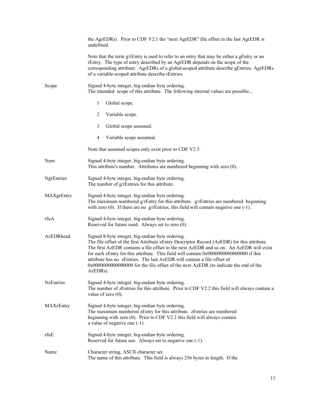|            | the AgrEDRs). Prior to CDF V2.1 the "next AgrEDR" file offset in the last AgrEDR is<br>undefined.                                                                                                                                                                                                                                                                                                                                                                                                                     |  |  |
|------------|-----------------------------------------------------------------------------------------------------------------------------------------------------------------------------------------------------------------------------------------------------------------------------------------------------------------------------------------------------------------------------------------------------------------------------------------------------------------------------------------------------------------------|--|--|
|            | Note that the term g/rEntry is used to refer to an entry that may be either a gEntry or an<br>rEntry. The type of entry described by an AgrEDR depends on the scope of the<br>corresponding attribute. AgrEDRs of a global-scoped attribute describe gEntries. AgrEDRs<br>of a variable-scoped attribute describe rEntries.                                                                                                                                                                                           |  |  |
| Scope      | Signed 4-byte integer, big-endian byte ordering.<br>The intended scope of this attribute. The following internal values are possible                                                                                                                                                                                                                                                                                                                                                                                  |  |  |
|            | $\mathbf{1}$<br>Global scope.                                                                                                                                                                                                                                                                                                                                                                                                                                                                                         |  |  |
|            | 2<br>Variable scope.                                                                                                                                                                                                                                                                                                                                                                                                                                                                                                  |  |  |
|            | 3<br>Global scope assumed.                                                                                                                                                                                                                                                                                                                                                                                                                                                                                            |  |  |
|            | 4<br>Variable scope assumed.                                                                                                                                                                                                                                                                                                                                                                                                                                                                                          |  |  |
|            | Note that assumed scopes only exist prior to CDF V2.5.                                                                                                                                                                                                                                                                                                                                                                                                                                                                |  |  |
| Num        | Signed 4-byte integer, big-endian byte ordering.<br>This attribute's number. Attributes are numbered beginning with zero (0).                                                                                                                                                                                                                                                                                                                                                                                         |  |  |
| NgrEntries | Signed 4-byte integer, big-endian byte ordering.<br>The number of g/rEntries for this attribute.                                                                                                                                                                                                                                                                                                                                                                                                                      |  |  |
| MAXgrEntry | Signed 4-byte integer, big-endian byte ordering.<br>The maximum numbered $g$ /rEntry for this attribute. $g$ /rEntries are numbered beginning<br>with zero $(0)$ . If there are no g/rEntries, this field will contain negative one $(-1)$ .                                                                                                                                                                                                                                                                          |  |  |
| rfuA       | Signed 4-byte integer, big-endian byte ordering.<br>Reserved for future used. Always set to zero (0).                                                                                                                                                                                                                                                                                                                                                                                                                 |  |  |
| AzEDRhead  | Signed 8-byte integer, big-endian byte ordering.<br>The file offset of the first Attribute zEntry Descriptor Record (AzEDR) for this attribute.<br>The first AzEDR contains a file offset to the next AzEDR and so on. An AzEDR will exist<br>for each zEntry for this attribute. This field will contain 0x00000000000000000 if this<br>attribute has no zEntries. The last AzEDR will contain a file offset of<br>0x00000000000000000 for the file offset of the next AzEDR (to indicate the end of the<br>AzEDRs). |  |  |
| NzEntries  | Signed 4-byte integer, big-endian byte ordering.<br>The number of zEntries for this attribute. Prior to CDF V2.2 this field will always contain a<br>value of zero $(0)$ .                                                                                                                                                                                                                                                                                                                                            |  |  |
| MAXzEntry  | Signed 4-byte integer, big-endian byte ordering.<br>The maximum numbered zEntry for this attribute. zEntries are numbered<br>beginning with zero (0). Prior to CDF V2.2 this field will always contain<br>a value of negative one $(-1)$ .                                                                                                                                                                                                                                                                            |  |  |
| rfuE       | Signed 4-byte integer, big-endian byte ordering.<br>Reserved for future use. Always set to negative one (-1).                                                                                                                                                                                                                                                                                                                                                                                                         |  |  |
| Name       | Character string, ASCII character set.<br>The name of this attribute. This field is always 256 bytes in length. If the                                                                                                                                                                                                                                                                                                                                                                                                |  |  |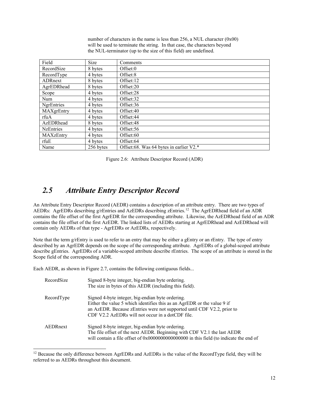number of characters in the name is less than 256, a NUL character (0x00) will be used to terminate the string. In that case, the characters beyond the NUL-terminator (up to the size of this field) are undefined.

| Field            | Size      | Comments                                |
|------------------|-----------|-----------------------------------------|
| RecordSize       | 8 bytes   | Offset:0                                |
| RecordType       | 4 bytes   | Offset:8                                |
| ADRnext          | 8 bytes   | Offset:12                               |
| AgrEDRhead       | 8 bytes   | Offset:20                               |
| Scope            | 4 bytes   | Offset:28                               |
| Num              | 4 bytes   | Offset:32                               |
| NgrEntries       | 4 bytes   | Offset:36                               |
| MAXgrEntry       | 4 bytes   | Offset:40                               |
| rfuA             | 4 bytes   | Offset:44                               |
| AzEDRhead        | 8 bytes   | Offset:48                               |
| <b>NzEntries</b> | 4 bytes   | Offset:56                               |
| MAXzEntry        | 4 bytes   | Offset:60                               |
| rfuE             | 4 bytes   | Offset:64                               |
| Name             | 256 bytes | Offset:68. Was 64 bytes in earlier V2.* |

Figure 2.6: Attribute Descriptor Record (ADR)

## *2.5 Attribute Entry Descriptor Record*

An Attribute Entry Descriptor Record (AEDR) contains a description of an attribute entry. There are two types of AEDRs: AgrEDRs describing g/rEntries and AzEDRs describing zEntries.<sup>12</sup> The AgrEDRhead field of an ADR contains the file offset of the first AgrEDR for the corresponding attribute. Likewise, the AzEDRhead field of an ADR contains the file offset of the first AzEDR. The linked lists of AEDRs starting at AgrEDRhead and AzEDRhead will contain only AEDRs of that type - AgrEDRs or AzEDRs, respectively.

Note that the term g/rEntry is used to refer to an entry that may be either a gEntry or an rEntry. The type of entry described by an AgrEDR depends on the scope of the corresponding attribute. AgrEDRs of a global-scoped attribute describe gEntries. AgrEDRs of a variable-scoped attribute describe rEntries. The scope of an attribute is stored in the Scope field of the corresponding ADR.

Each AEDR, as shown in Figure 2.7, contains the following contiguous fields...

| RecordSize | Signed 8-byte integer, big-endian byte ordering.<br>The size in bytes of this AEDR (including this field).                                                                                                                                                |
|------------|-----------------------------------------------------------------------------------------------------------------------------------------------------------------------------------------------------------------------------------------------------------|
| RecordType | Signed 4-byte integer, big-endian byte ordering.<br>Either the value 5 which identifies this as an AgrEDR or the value 9 if<br>an AzEDR. Because zEntries were not supported until CDF V2.2, prior to<br>CDF V2.2 AzEDRs will not occur in a dotCDF file. |
| AEDRnext   | Signed 8-byte integer, big-endian byte ordering.<br>The file offset of the next AEDR. Beginning with CDF V2.1 the last AEDR<br>will contain a file offset of 0x0000000000000000 in this field (to indicate the end of                                     |

<span id="page-16-0"></span><sup>&</sup>lt;sup>12</sup> Because the only difference between AgrEDRs and AzEDRs is the value of the RecordType field, they will be referred to as AEDRs throughout this document.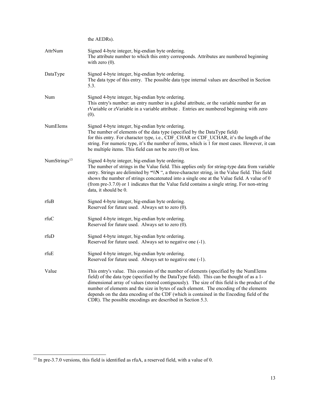|                          | the AEDRs).                                                                                                                                                                                                                                                                                                                                                                                                                                                                                                                                |
|--------------------------|--------------------------------------------------------------------------------------------------------------------------------------------------------------------------------------------------------------------------------------------------------------------------------------------------------------------------------------------------------------------------------------------------------------------------------------------------------------------------------------------------------------------------------------------|
| AttrNum                  | Signed 4-byte integer, big-endian byte ordering.<br>The attribute number to which this entry corresponds. Attributes are numbered beginning<br>with zero $(0)$ .                                                                                                                                                                                                                                                                                                                                                                           |
| DataType                 | Signed 4-byte integer, big-endian byte ordering.<br>The data type of this entry. The possible data type internal values are described in Section<br>5.3.                                                                                                                                                                                                                                                                                                                                                                                   |
| Num                      | Signed 4-byte integer, big-endian byte ordering.<br>This entry's number: an entry number in a global attribute, or the variable number for an<br>rVariable or zVariable in a variable attribute. Entries are numbered beginning with zero<br>(0).                                                                                                                                                                                                                                                                                          |
| NumElems                 | Signed 4-byte integer, big-endian byte ordering.<br>The number of elements of the data type (specified by the DataType field)<br>for this entry. For character type, i.e., CDF CHAR or CDF UCHAR, it's the length of the<br>string. For numeric type, it's the number of items, which is 1 for most cases. However, it can<br>be multiple items. This field can not be zero $(0)$ or less.                                                                                                                                                 |
| NumStrings <sup>13</sup> | Signed 4-byte integer, big-endian byte ordering.<br>The number of strings in the Value field. This applies only for string-type data from variable<br>entry. Strings are delimited by "\\N ", a three-character string, in the Value field. This field<br>shows the number of strings concatenated into a single one at the Value field. A value of 0<br>(from pre-3.7.0) or 1 indicates that the Value field contains a single string. For non-string<br>data, it should be 0.                                                            |
| rfuB                     | Signed 4-byte integer, big-endian byte ordering.<br>Reserved for future used. Always set to zero (0).                                                                                                                                                                                                                                                                                                                                                                                                                                      |
| rfuC                     | Signed 4-byte integer, big-endian byte ordering.<br>Reserved for future used. Always set to zero (0).                                                                                                                                                                                                                                                                                                                                                                                                                                      |
| rfuD                     | Signed 4-byte integer, big-endian byte ordering.<br>Reserved for future used. Always set to negative one (-1).                                                                                                                                                                                                                                                                                                                                                                                                                             |
| rfuE                     | Signed 4-byte integer, big-endian byte ordering.<br>Reserved for future used. Always set to negative one (-1).                                                                                                                                                                                                                                                                                                                                                                                                                             |
| Value                    | This entry's value. This consists of the number of elements (specified by the NumElems<br>field) of the data type (specified by the DataType field). This can be thought of as a 1-<br>dimensional array of values (stored contiguously). The size of this field is the product of the<br>number of elements and the size in bytes of each element. The encoding of the elements<br>depends on the data encoding of the CDF (which is contained in the Encoding field of the<br>CDR). The possible encodings are described in Section 5.3. |

<span id="page-17-0"></span> $\frac{13}{13}$  In pre-3.7.0 versions, this field is identified as rfuA, a reserved field, with a value of 0.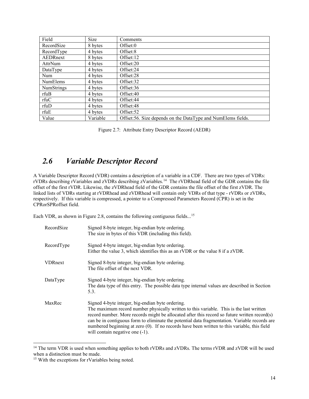| Field           | Size     | Comments                                                      |
|-----------------|----------|---------------------------------------------------------------|
| RecordSize      | 8 bytes  | Offset:0                                                      |
| RecordType      | 4 bytes  | Offset:8                                                      |
| AEDRnext        | 8 bytes  | Offset:12                                                     |
| AttrNum         | 4 bytes  | Offset:20                                                     |
| DataType        | 4 bytes  | Offset:24                                                     |
| Num             | 4 bytes  | Offset:28                                                     |
| <b>NumElems</b> | 4 bytes  | Offset:32                                                     |
| NumStrings      | 4 bytes  | Offset:36                                                     |
| rfuB            | 4 bytes  | Offset:40                                                     |
| rfuC            | 4 bytes  | Offset:44                                                     |
| rfuD            | 4 bytes  | Offset:48                                                     |
| rfuE            | 4 bytes  | Offset:52                                                     |
| Value           | Variable | Offset: 56. Size depends on the DataType and NumElems fields. |

Figure 2.7: Attribute Entry Descriptor Record (AEDR)

## *2.6 Variable Descriptor Record*

A Variable Descriptor Record (VDR) contains a description of a variable in a CDF. There are two types of VDRs: rVDRs describing rVariables and zVDRs describing zVariables.[14](#page-18-0) The rVDRhead field of the GDR contains the file offset of the first rVDR. Likewise, the zVDRhead field of the GDR contains the file offset of the first zVDR. The linked lists of VDRs starting at rVDRhead and zVDRhead will contain only VDRs of that type - rVDRs or zVDRs, respectively. If this variable is compressed, a pointer to a Compressed Parameters Record (CPR) is set in the CPRorSPRoffset field.

Each VDR, as shown in Figure 2.8, contains the following contiguous fields...<sup>[15](#page-18-1)</sup>

| RecordSize     | Signed 8-byte integer, big-endian byte ordering.<br>The size in bytes of this VDR (including this field).                                                                                                                                                                                                                                                                                                                                                                       |
|----------------|---------------------------------------------------------------------------------------------------------------------------------------------------------------------------------------------------------------------------------------------------------------------------------------------------------------------------------------------------------------------------------------------------------------------------------------------------------------------------------|
| RecordType     | Signed 4-byte integer, big-endian byte ordering.<br>Either the value 3, which identifies this as an rVDR or the value 8 if a zVDR.                                                                                                                                                                                                                                                                                                                                              |
| <b>VDRnext</b> | Signed 8-byte integer, big-endian byte ordering.<br>The file offset of the next VDR.                                                                                                                                                                                                                                                                                                                                                                                            |
| DataType       | Signed 4-byte integer, big-endian byte ordering.<br>The data type of this entry. The possible data type internal values are described in Section<br>5.3.                                                                                                                                                                                                                                                                                                                        |
| MaxRec         | Signed 4-byte integer, big-endian byte ordering.<br>The maximum record number physically written to this variable. This is the last written<br>record number. More records might be allocated after this record so future written record(s)<br>can be in contiguous form to eliminate the potential data fragmentation. Variable records are<br>numbered beginning at zero (0). If no records have been written to this variable, this field<br>will contain negative one (-1). |

<span id="page-18-0"></span><sup>&</sup>lt;sup>14</sup> The term VDR is used when something applies to both rVDRs and zVDRs. The terms rVDR and zVDR will be used when a distinction must be made.

<span id="page-18-1"></span><sup>&</sup>lt;sup>15</sup> With the exceptions for rVariables being noted.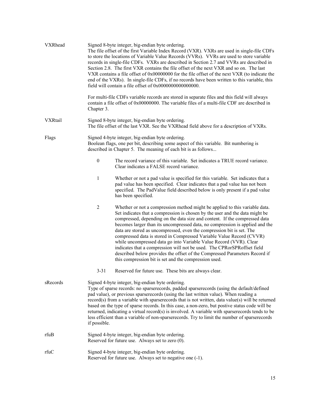| VXRhead        | Signed 8-byte integer, big-endian byte ordering.<br>The file offset of the first Variable Index Record (VXR). VXRs are used in single-file CDFs<br>to store the locations of Variable Value Records (VVRs). VVRs are used to store variable<br>records in single-file CDFs. VXRs are described in Section 2.7 and VVRs are described in<br>Section 2.8. The first VXR contains the file offset of the next VXR and so on. The last<br>VXR contains a file offset of 0x00000000 for the file offset of the next VXR (to indicate the<br>end of the VXRs). In single-file CDFs, if no records have been written to this variable, this<br>field will contain a file offset of 0x0000000000000000. |                                                                                                                                                                                                                                                                                                                                                                                                                                                                                                                                                                                                                                                                                                                                                                    |  |
|----------------|-------------------------------------------------------------------------------------------------------------------------------------------------------------------------------------------------------------------------------------------------------------------------------------------------------------------------------------------------------------------------------------------------------------------------------------------------------------------------------------------------------------------------------------------------------------------------------------------------------------------------------------------------------------------------------------------------|--------------------------------------------------------------------------------------------------------------------------------------------------------------------------------------------------------------------------------------------------------------------------------------------------------------------------------------------------------------------------------------------------------------------------------------------------------------------------------------------------------------------------------------------------------------------------------------------------------------------------------------------------------------------------------------------------------------------------------------------------------------------|--|
|                | Chapter 3.                                                                                                                                                                                                                                                                                                                                                                                                                                                                                                                                                                                                                                                                                      | For multi-file CDFs variable records are stored in separate files and this field will always<br>contain a file offset of 0x00000000. The variable files of a multi-file CDF are described in                                                                                                                                                                                                                                                                                                                                                                                                                                                                                                                                                                       |  |
| <b>VXRtail</b> | Signed 8-byte integer, big-endian byte ordering.<br>The file offset of the last VXR. See the VXRhead field above for a description of VXRs.                                                                                                                                                                                                                                                                                                                                                                                                                                                                                                                                                     |                                                                                                                                                                                                                                                                                                                                                                                                                                                                                                                                                                                                                                                                                                                                                                    |  |
| Flags          | Signed 4-byte integer, big-endian byte ordering.<br>Boolean flags, one per bit, describing some aspect of this variable. Bit numbering is<br>described in Chapter 5. The meaning of each bit is as follows                                                                                                                                                                                                                                                                                                                                                                                                                                                                                      |                                                                                                                                                                                                                                                                                                                                                                                                                                                                                                                                                                                                                                                                                                                                                                    |  |
|                | $\boldsymbol{0}$                                                                                                                                                                                                                                                                                                                                                                                                                                                                                                                                                                                                                                                                                | The record variance of this variable. Set indicates a TRUE record variance.<br>Clear indicates a FALSE record variance.                                                                                                                                                                                                                                                                                                                                                                                                                                                                                                                                                                                                                                            |  |
|                | $\mathbf{1}$                                                                                                                                                                                                                                                                                                                                                                                                                                                                                                                                                                                                                                                                                    | Whether or not a pad value is specified for this variable. Set indicates that a<br>pad value has been specified. Clear indicates that a pad value has not been<br>specified. The PadValue field described below is only present if a pad value<br>has been specified.                                                                                                                                                                                                                                                                                                                                                                                                                                                                                              |  |
|                | 2                                                                                                                                                                                                                                                                                                                                                                                                                                                                                                                                                                                                                                                                                               | Whether or not a compression method might be applied to this variable data.<br>Set indicates that a compression is chosen by the user and the data might be<br>compressed, depending on the data size and content. If the compressed data<br>becomes larger than its uncompressed data, no compression is applied and the<br>data are stored as uncompressed, even the compression bit is set. The<br>compressed data is stored in Compressed Variable Value Record (CVVR)<br>while uncompressed data go into Variable Value Record (VVR). Clear<br>indicates that a compression will not be used. The CPRorSPRoffset field<br>described below provides the offset of the Compressed Parameters Record if<br>this compression bit is set and the compression used. |  |
|                | $3 - 31$                                                                                                                                                                                                                                                                                                                                                                                                                                                                                                                                                                                                                                                                                        | Reserved for future use. These bits are always clear.                                                                                                                                                                                                                                                                                                                                                                                                                                                                                                                                                                                                                                                                                                              |  |
| sRecords       | Signed 4-byte integer, big-endian byte ordering.<br>Type of sparse records: no sparserecords, padded sparserecords (using the default/defined<br>pad value), or previous sparserecords (using the last written value). When reading a<br>record(s) from a variable with sparserecords that is not written, data value(s) will be returned<br>based on the type of sparse records. In this case, a non-zero, but postive status code will be<br>returned, indicating a virtual record(s) is involved. A variable with sparserecords tends to be<br>less efficient than a variable of non-sparserecords. Try to limit the number of sparserecords<br>if possible.                                 |                                                                                                                                                                                                                                                                                                                                                                                                                                                                                                                                                                                                                                                                                                                                                                    |  |
| rfuB           |                                                                                                                                                                                                                                                                                                                                                                                                                                                                                                                                                                                                                                                                                                 | Signed 4-byte integer, big-endian byte ordering.<br>Reserved for future use. Always set to zero (0).                                                                                                                                                                                                                                                                                                                                                                                                                                                                                                                                                                                                                                                               |  |
| rfuC           | Signed 4-byte integer, big-endian byte ordering.<br>Reserved for future use. Always set to negative one (-1).                                                                                                                                                                                                                                                                                                                                                                                                                                                                                                                                                                                   |                                                                                                                                                                                                                                                                                                                                                                                                                                                                                                                                                                                                                                                                                                                                                                    |  |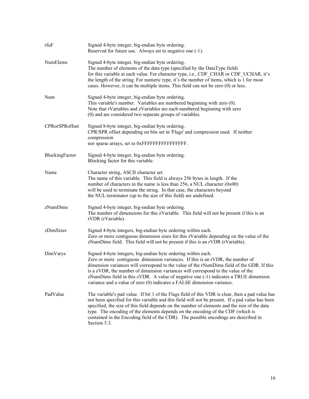| rfuF           | Signed 4-byte integer, big-endian byte ordering.<br>Reserved for future use. Always set to negative one (-1).                                                                                                                                                                                                                                                                                                                                                                                         |
|----------------|-------------------------------------------------------------------------------------------------------------------------------------------------------------------------------------------------------------------------------------------------------------------------------------------------------------------------------------------------------------------------------------------------------------------------------------------------------------------------------------------------------|
| NumElems       | Signed 4-byte integer, big-endian byte ordering.<br>The number of elements of the data type (specified by the DataType field)<br>for this variable at each value. For character type, i.e., CDF_CHAR or CDF_UCHAR, it's<br>the length of the string. For numeric type, it's the number of items, which is 1 for most<br>cases. However, it can be multiple items. This field can not be zero (0) or less.                                                                                             |
| Num            | Signed 4-byte integer, big-endian byte ordering.<br>This variable's number. Variables are numbered beginning with zero (0).<br>Note that rVariables and zVariables are each numbered beginning with zero<br>(0) and are considered two separate groups of variables.                                                                                                                                                                                                                                  |
| CPRorSPRoffset | Signed 8-byte integer, big-endian byte ordering.<br>CPR/SPR offset depending on bits set in 'Flags' and compression used. If neither<br>compression                                                                                                                                                                                                                                                                                                                                                   |
| BlockingFactor | Signed 4-byte integer, big-endian byte ordering.<br>Blocking factor for this variable.                                                                                                                                                                                                                                                                                                                                                                                                                |
| Name           | Character string, ASCII character set.<br>The name of this variable. This field is always 256 bytes in length. If the<br>number of characters in the name is less than 256, a NUL character $(0x00)$<br>will be used to terminate the string. In that case, the characters beyond<br>the NUL-terminator (up to the size of this field) are undefined.                                                                                                                                                 |
| zNumDims       | Signed 4-byte integer, big-endian byte ordering.<br>The number of dimensions for this zVariable. This field will not be present if this is an<br>rVDR (rVariable).                                                                                                                                                                                                                                                                                                                                    |
| zDimSizes      | Signed 4-byte integers, big-endian byte ordering within each.<br>Zero or more contiguous dimension sizes for this zVariable depending on the value of the<br>zNumDims field. This field will not be present if this is an rVDR (rVariable).                                                                                                                                                                                                                                                           |
| DimVarys       | Signed 4-byte integers, big-endian byte ordering within each.<br>Zero or more contiguous dimension variances. If this is an rVDR, the number of<br>dimension variances will correspond to the value of the rNumDims field of the GDR. If this<br>is a zVDR, the number of dimension variances will correspond to the value of the<br>zNumDims field in this zVDR. A value of negative one $(-1)$ indicates a TRUE dimension<br>variance and a value of zero (0) indicates a FALSE dimension variance. |
| PadValue       | The variable's pad value. If bit 1 of the Flags field of this VDR is clear, then a pad value has<br>not been specified for this variable and this field will not be present. If a pad value has been<br>specified, the size of this field depends on the number of elements and the size of the data<br>type. The encoding of the elements depends on the encoding of the CDF (which is<br>contained in the Encoding field of the CDR). The possible encodings are described in<br>Section 5.3.       |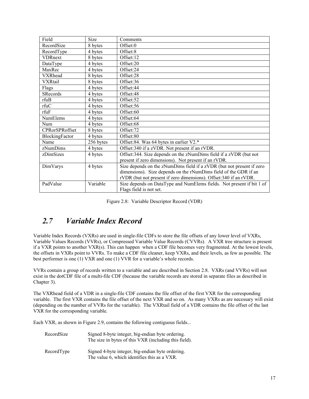| Field                 | Size      | Comments                                                              |
|-----------------------|-----------|-----------------------------------------------------------------------|
| RecordSize            | 8 bytes   | Offset:0                                                              |
| RecordType            | 4 bytes   | Offset:8                                                              |
| <b>VDRnext</b>        | 8 bytes   | Offset:12                                                             |
| DataType              | 4 bytes   | Offset:20                                                             |
| MaxRec                | 4 bytes   | Offset:24                                                             |
| <b>VXRhead</b>        | 8 bytes   | Offset:28                                                             |
| <b>VXRtail</b>        | 8 bytes   | Offset:36                                                             |
| Flags                 | 4 bytes   | Offset:44                                                             |
| <b>SRecords</b>       | 4 bytes   | Offset:48                                                             |
| rfuB                  | 4 bytes   | Offset:52                                                             |
| rfuC                  | 4 bytes   | Offset:56                                                             |
| rfuF                  | 4 bytes   | Offset:60                                                             |
| NumElems              | 4 bytes   | Offset:64                                                             |
| Num                   | 4 bytes   | Offset:68                                                             |
| <b>CPRorSPRoffset</b> | 8 bytes   | Offset:72                                                             |
| BlockingFactor        | 4 bytes   | Offset:80                                                             |
| Name                  | 256 bytes | Offset:84. Was 64 bytes in earlier V2.*                               |
| zNumDims              | 4 bytes   | Offset: 340 if a zVDR. Not present if an rVDR.                        |
| zDimSizes             | 4 bytes   | Offset: 344. Size depends on the zNumDims field if a zVDR (but not    |
|                       |           | present if zero dimensions). Not present if an rVDR.                  |
| DimVarys              | 4 bytes   | Size depends on the zNumDims field if a zVDR (but not present if zero |
|                       |           | dimensions). Size depends on the rNumDims field of the GDR if an      |
|                       |           | rVDR (but not present if zero dimensions). Offset:340 if an rVDR.     |
| PadValue              | Variable  | Size depends on DataType and NumElems fields. Not present if bit 1 of |
|                       |           | Flags field is not set.                                               |

|  | Figure 2.8: Variable Descriptor Record (VDR) |  |  |  |
|--|----------------------------------------------|--|--|--|
|--|----------------------------------------------|--|--|--|

## *2.7 Variable Index Record*

Variable Index Records (VXRs) are used in single-file CDFs to store the file offsets of any lower level of VXRs, Variable Values Records (VVRs), or Compressed Variable Value Records (CVVRs). A VXR tree structure is present if a VXR points to another VXR(s). This can happen when a CDF file becomes very fragmented. At the lowest levels, the offsets in VXRs point to VVRs. To make a CDF file cleaner, keep VXRs, and their levels, as few as possible. The best performer is one (1) VXR and one (1) VVR for a variable's whole records.

VVRs contain a group of records written to a variable and are described in Section [2.8.](#page-23-0) VXRs (and VVRs) will not exist in the dotCDF file of a multi-file CDF (because the variable records are stored in separate files as described in Chapter [3\)](#page-29-0).

The VXRhead field of a VDR in a single-file CDF contains the file offset of the first VXR for the corresponding variable. The first VXR contains the file offset of the next VXR and so on. As many VXRs as are necessary will exist (depending on the number of VVRs for the variable). The VXRtail field of a VDR contains the file offset of the last VXR for the corresponding variable.

Each VXR, as shown in Figure 2.9, contains the following contiguous fields...

| RecordSize | Signed 8-byte integer, big-endian byte ordering.<br>The size in bytes of this VXR (including this field). |
|------------|-----------------------------------------------------------------------------------------------------------|
| RecordType | Signed 4-byte integer, big-endian byte ordering.<br>The value 6, which identifies this as a VXR.          |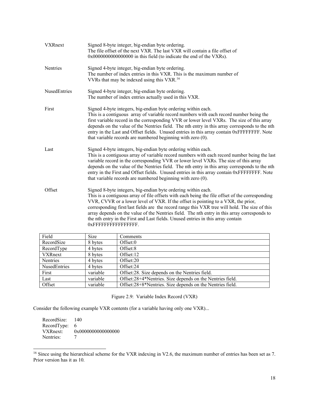| <b>VXRnext</b>      | Signed 8-byte integer, big-endian byte ordering.<br>The file offset of the next VXR. The last VXR will contain a file offset of<br>0x0000000000000000000 in this field (to indicate the end of the VXRs).                                                                                                                                                                                                                                                                                                                                                           |
|---------------------|---------------------------------------------------------------------------------------------------------------------------------------------------------------------------------------------------------------------------------------------------------------------------------------------------------------------------------------------------------------------------------------------------------------------------------------------------------------------------------------------------------------------------------------------------------------------|
| Nentries            | Signed 4-byte integer, big-endian byte ordering.<br>The number of index entries in this VXR. This is the maximum number of<br>VVRs that may be indexed using this VXR. <sup>16</sup>                                                                                                                                                                                                                                                                                                                                                                                |
| <b>NusedEntries</b> | Signed 4-byte integer, big-endian byte ordering.<br>The number of index entries actually used in this VXR.                                                                                                                                                                                                                                                                                                                                                                                                                                                          |
| First               | Signed 4-byte integers, big-endian byte ordering within each.<br>This is a contiguous array of variable record numbers with each record number being the<br>first variable record in the corresponding VVR or lower level VXRs. The size of this array<br>depends on the value of the Nentries field. The nth entry in this array corresponds to the nth<br>entry in the Last and Offset fields. Unused entries in this array contain 0xFFFFFFFF. Note<br>that variable records are numbered beginning with zero (0).                                               |
| Last                | Signed 4-byte integers, big-endian byte ordering within each.<br>This is a contiguous array of variable record numbers with each record number being the last<br>variable record in the corresponding VVR or lower level VXRs. The size of this array<br>depends on the value of the Nentries field. The nth entry in this array corresponds to the nth<br>entry in the First and Offset fields. Unused entries in this array contain 0xFFFFFFFF. Note<br>that variable records are numbered beginning with zero (0).                                               |
| Offset              | Signed 8-byte integers, big-endian byte ordering within each.<br>This is a contiguous array of file offsets with each being the file offset of the corresponding<br>VVR, CVVR or a lower level of VXR. If the offset is pointing to a VXR, the prior,<br>corresponding first/last fields are the record range this VXR tree will hold. The size of this<br>array depends on the value of the Nentries field. The nth entry in this array corresponds to<br>the nth entry in the First and Last fields. Unused entries in this array contain<br>0xFFFFFFFFFFFFFFFFF. |

| Field        | <b>Size</b> | Comments                                                  |
|--------------|-------------|-----------------------------------------------------------|
| RecordSize   | 8 bytes     | Offset:0                                                  |
| RecordType   | 4 bytes     | Offset:8                                                  |
| VXRnext      | 8 bytes     | Offset:12                                                 |
| Nentries     | 4 bytes     | Offset:20                                                 |
| NusedEntries | 4 bytes     | Offset:24                                                 |
| First        | variable    | Offset: 28. Size depends on the Nentries field.           |
| Last         | variable    | Offset:28+4*Nentries. Size depends on the Nentries field. |
| Offset       | variable    | Offset:28+8*Nentries. Size depends on the Nentries field. |

Figure 2.9: Variable Index Record (VXR)

Consider the following example VXR contents (for a variable having only one VXR)...

RecordSize: 140 RecordType: 6<br>VXRnext: 0 VXRnext: 0x0000000000000000 Nentries:

<span id="page-22-0"></span><sup>&</sup>lt;sup>16</sup> Since using the hierarchical scheme for the VXR indexing in V2.6, the maximum number of entries has been set as 7. Prior version has it as 10.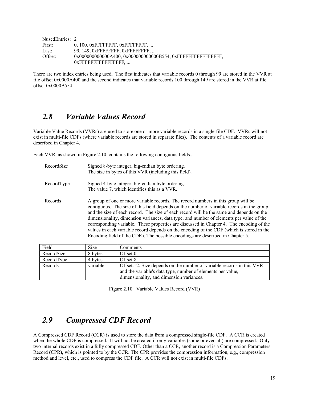| NusedEntries: 2 |                                        |
|-----------------|----------------------------------------|
| First:          | $0, 100, 0x$ FFFFFFFF, $0x$ FFFFFFFFF, |
| Last:           | 99, 149, OXFFFFFFFF, OXFFFFFFFFF,      |
| Offset:         |                                        |
|                 | $0x$ FFFFFFFFFFFFFFFFFFF $\ldots$      |

There are two index entries being used. The first indicates that variable records 0 through 99 are stored in the VVR at file offset 0x0000A400 and the second indicates that variable records 100 through 149 are stored in the VVR at file offset 0x0000B554.

## <span id="page-23-0"></span>*2.8 Variable Values Record*

Variable Value Records (VVRs) are used to store one or more variable records in a single-file CDF. VVRs will not exist in multi-file CDFs (where variable records are stored in separate files). The contents of a variable record are described in Chapter [4.](#page-30-0)

Each VVR, as shown in Figure 2.10, contains the following contiguous fields...

| RecordSize | Signed 8-byte integer, big-endian byte ordering.<br>The size in bytes of this VVR (including this field).                                                                                                                                                                                                                                                                                                                                                                                                                                                                                                                                        |
|------------|--------------------------------------------------------------------------------------------------------------------------------------------------------------------------------------------------------------------------------------------------------------------------------------------------------------------------------------------------------------------------------------------------------------------------------------------------------------------------------------------------------------------------------------------------------------------------------------------------------------------------------------------------|
| RecordType | Signed 4-byte integer, big-endian byte ordering.<br>The value 7, which identifies this as a VVR.                                                                                                                                                                                                                                                                                                                                                                                                                                                                                                                                                 |
| Records    | A group of one or more variable records. The record numbers in this group will be<br>contiguous. The size of this field depends on the number of variable records in the group<br>and the size of each record. The size of each record will be the same and depends on the<br>dimensionality, dimension variances, data type, and number of elements per value of the<br>corresponding variable. These properties are discussed in Chapter 4. The encoding of the<br>values in each variable record depends on the encoding of the CDF (which is stored in the<br>Encoding field of the CDR). The possible encodings are described in Chapter 5. |

| Field      | <b>Size</b> | Comments                                                                                                                             |
|------------|-------------|--------------------------------------------------------------------------------------------------------------------------------------|
| RecordSize | 8 bytes     | Offset:0                                                                                                                             |
| RecordType | 4 bytes     | Offset:8                                                                                                                             |
| Records    | variable    | Offset:12. Size depends on the number of variable records in this VVR<br>and the variable's data type, number of elements per value, |
|            |             | dimensionality, and dimension variances.                                                                                             |

Figure 2.10: Variable Values Record (VVR)

## *2.9 Compressed CDF Record*

A Compressed CDF Record (CCR) is used to store the data from a compressed single-file CDF. A CCR is created when the whole CDF is compressed. It will not be created if only variables (some or even all) are compressed. Only two internal records exist in a fully compressed CDF. Other than a CCR, another record is a Compression Parameters Record (CPR), which is pointed to by the CCR. The CPR provides the compression information, e.g., compression method and level, etc., used to compress the CDF file. A CCR will not exist in multi-file CDFs.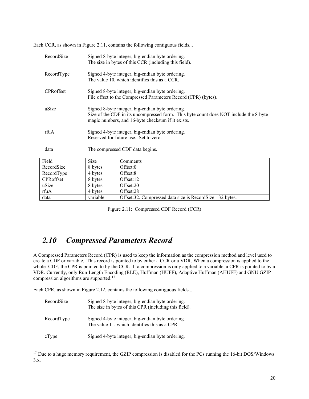Each CCR, as shown in Figure 2.11, contains the following contiguous fields...

| RecordSize | Signed 8-byte integer, big-endian byte ordering.<br>The size in bytes of this CCR (including this field).                                                                                      |                                                           |  |
|------------|------------------------------------------------------------------------------------------------------------------------------------------------------------------------------------------------|-----------------------------------------------------------|--|
| RecordType | Signed 4-byte integer, big-endian byte ordering.<br>The value 10, which identifies this as a CCR.                                                                                              |                                                           |  |
| CPRoffset  | Signed 8-byte integer, big-endian byte ordering.<br>File offset to the Compressed Parameters Record (CPR) (bytes).                                                                             |                                                           |  |
| uSize      | Signed 8-byte integer, big-endian byte ordering.<br>Size of the CDF in its uncompressed form. This byte count does NOT include the 8-byte<br>magic numbers, and 16-byte checksum if it exists. |                                                           |  |
| rfuA       | Signed 4-byte integer, big-endian byte ordering.<br>Reserved for future use. Set to zero.                                                                                                      |                                                           |  |
| data       | The compressed CDF data begins.                                                                                                                                                                |                                                           |  |
| Field      | Size                                                                                                                                                                                           | Comments                                                  |  |
| RecordSize | 8 bytes                                                                                                                                                                                        | Offset:0                                                  |  |
| RecordType | 4 bytes                                                                                                                                                                                        | Offset:8                                                  |  |
| CPRoffset  | 8 bytes                                                                                                                                                                                        | Offset:12                                                 |  |
| uSize      | 8 bytes                                                                                                                                                                                        | Offset:20                                                 |  |
| rfuA       | 4 bytes                                                                                                                                                                                        | Offset:28                                                 |  |
| data       | variable                                                                                                                                                                                       | Offset:32. Compressed data size is RecordSize - 32 bytes. |  |

Figure 2.11: Compressed CDF Record (CCR)

## *2.10 Compressed Parameters Record*

A Compressed Parameters Record (CPR) is used to keep the information as the compression method and level used to create a CDF or variable. This record is pointed to by either a CCR or a VDR. When a compression is applied to the whole CDF, the CPR is pointed to by the CCR. If a compression is only applied to a variable, a CPR is pointed to by a VDR. Currently, only Run-Length Encoding (RLE), Huffman (HUFF), Adaptive Huffman (AHUFF) and GNU GZIP compression algorithms are supported[.17](#page-24-0)

Each CPR, as shown in Figure 2.12, contains the following contiguous fields...

| RecordSize | Signed 8-byte integer, big-endian byte ordering.<br>The size in bytes of this CPR (including this field). |
|------------|-----------------------------------------------------------------------------------------------------------|
| RecordType | Signed 4-byte integer, big-endian byte ordering.<br>The value 11, which identifies this as a CPR.         |
| cType      | Signed 4-byte integer, big-endian byte ordering.                                                          |

<span id="page-24-0"></span><sup>&</sup>lt;sup>17</sup> Due to a huge memory requirement, the GZIP compression is disabled for the PCs running the 16-bit DOS/Windows 3.x.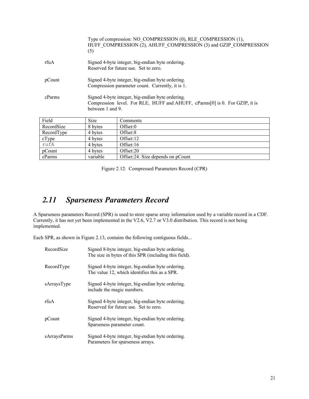|            | (5)      | Type of compression: NO COMPRESSION (0), RLE COMPRESSION (1),<br>HUFF COMPRESSION (2), AHUFF COMPRESSION (3) and GZIP COMPRESSION                   |  |  |
|------------|----------|-----------------------------------------------------------------------------------------------------------------------------------------------------|--|--|
| rfuA       |          | Signed 4-byte integer, big-endian byte ordering.<br>Reserved for future use. Set to zero.                                                           |  |  |
| pCount     |          | Signed 4-byte integer, big-endian byte ordering.<br>Compression parameter count. Currently, it is 1.                                                |  |  |
| cParms     |          | Signed 4-byte integer, big-endian byte ordering.<br>Compression level. For RLE, HUFF and AHUFF, cParms[0] is 0. For GZIP, it is<br>between 1 and 9. |  |  |
| Field      | Size     | Comments                                                                                                                                            |  |  |
| RecordSize | 8 bytes  | Offset:0                                                                                                                                            |  |  |
| RecordType | 4 bytes  | Offset:8                                                                                                                                            |  |  |
| cType      | 4 bytes  | Offset:12                                                                                                                                           |  |  |
| rufA       | 4 bytes  | Offset:16                                                                                                                                           |  |  |
| pCount     | 4 bytes  | Offset:20                                                                                                                                           |  |  |
| cParms     | variable | Offset:24. Size depends on pCount                                                                                                                   |  |  |

Figure 2.12: Compressed Parameters Record (CPR)

# *2.11 Sparseness Parameters Record*

A Sparseness parameters Record (SPR) is used to store sparse array information used by a variable record in a CDF. Currently, it has not yet been implemented in the V2.6, V2.7 or V3.0 distribution. This record is not being implemented.

Each SPR, as shown in Figure 2.13, contains the following contiguous fields...

| RecordSize   | Signed 8-byte integer, big-endian byte ordering.<br>The size in bytes of this SPR (including this field). |
|--------------|-----------------------------------------------------------------------------------------------------------|
| RecordType   | Signed 4-byte integer, big-endian byte ordering.<br>The value 12, which identifies this as a SPR.         |
| sArraysType  | Signed 4-byte integer, big-endian byte ordering.<br>include the magic numbers.                            |
| rfuA         | Signed 4-byte integer, big-endian byte ordering.<br>Reserved for future use. Set to zero.                 |
| pCount       | Signed 4-byte integer, big-endian byte ordering.<br>Sparseness parameter count.                           |
| sArraysParms | Signed 4-byte integer, big-endian byte ordering.<br>Parameters for sparseness arrays.                     |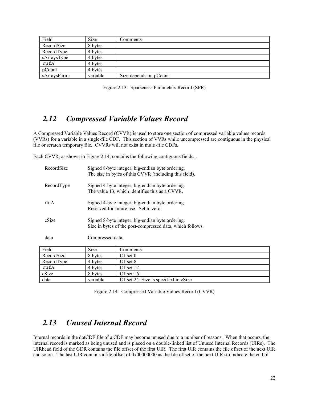| Field        | <b>Size</b> | Comments               |
|--------------|-------------|------------------------|
| RecordSize   | 8 bytes     |                        |
| RecordType   | 4 bytes     |                        |
| sArraysType  | 4 bytes     |                        |
| rufA         | 4 bytes     |                        |
| pCount       | 4 bytes     |                        |
| sArravsParms | variable    | Size depends on pCount |

Figure 2.13: Sparseness Parameters Record (SPR)

## *2.12 Compressed Variable Values Record*

A Compressed Variable Values Record (CVVR) is used to store one section of compressed variable values records (VVRs) for a variable in a single-file CDF. This section of VVRs while uncompressed are contiguous in the physical file or scratch temporary file. CVVRs will not exist in multi-file CDFs.

Each CVVR, as shown in Figure 2.14, contains the following contiguous fields...

data variable | Offset:24. Size is specified in cSize

| Signed 8-byte integer, big-endian byte ordering.<br>The size in bytes of this CVVR (including this field).    |           |  |
|---------------------------------------------------------------------------------------------------------------|-----------|--|
| Signed 4-byte integer, big-endian byte ordering.<br>The value 13, which identifies this as a CVVR.            |           |  |
| Signed 4-byte integer, big-endian byte ordering.<br>Reserved for future use. Set to zero.                     |           |  |
| Signed 8-byte integer, big-endian byte ordering.<br>Size in bytes of the post-compressed data, which follows. |           |  |
| Compressed data.                                                                                              |           |  |
| Size                                                                                                          | Comments  |  |
| 8 bytes                                                                                                       | Offset:0  |  |
| 4 bytes                                                                                                       | Offset:8  |  |
| 4 bytes                                                                                                       | Offset:12 |  |
|                                                                                                               |           |  |

Figure 2.14: Compressed Variable Values Record (CVVR)

## *2.13 Unused Internal Record*

cSize 8 bytes Offset:16

Internal records in the dotCDF file of a CDF may become unused due to a number of reasons. When that occurs, the internal record is marked as being unused and is placed on a double-linked list of Unused Internal Records (UIRs). The UIRhead field of the GDR contains the file offset of the first UIR. The first UIR contains the file offset of the next UIR and so on. The last UIR contains a file offset of 0x00000000 as the file offset of the next UIR (to indicate the end of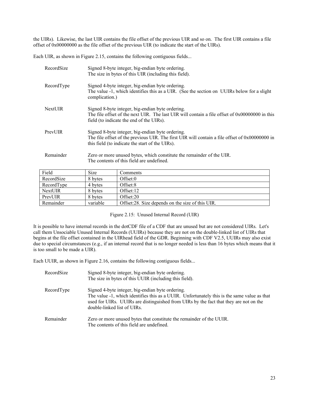the UIRs). Likewise, the last UIR contains the file offset of the previous UIR and so on. The first UIR contains a file offset of 0x00000000 as the file offset of the previous UIR (to indicate the start of the UIRs).

Each UIR, as shown in Figure 2.15, contains the following contiguous fields...

| RecordSize     | Signed 8-byte integer, big-endian byte ordering.<br>The size in bytes of this UIR (including this field).                                                                                               |
|----------------|---------------------------------------------------------------------------------------------------------------------------------------------------------------------------------------------------------|
| RecordType     | Signed 4-byte integer, big-endian byte ordering.<br>The value -1, which identifies this as a UIR. (See the section on UUIRs below for a slight<br>complication.)                                        |
| <b>NextUIR</b> | Signed 8-byte integer, big-endian byte ordering.<br>The file offset of the next UIR. The last UIR will contain a file offset of 0x00000000 in this<br>field (to indicate the end of the UIRs).          |
| PrevUIR        | Signed 8-byte integer, big-endian byte ordering.<br>The file offset of the previous UIR. The first UIR will contain a file offset of $0x00000000$ in<br>this field (to indicate the start of the UIRs). |
| Remainder      | Zero or more unused bytes, which constitute the remainder of the UIR.<br>The contents of this field are undefined.                                                                                      |

| Field          | <b>Size</b> | Comments                                         |
|----------------|-------------|--------------------------------------------------|
| RecordSize     | 8 bytes     | Offset:0                                         |
| RecordType     | 4 bytes     | Offset:8                                         |
| <b>NextUIR</b> | 8 bytes     | Offset:12                                        |
| PrevUIR        | 8 bytes     | Offset:20                                        |
| Remainder      | variable    | Offset:28. Size depends on the size of this UIR. |

### Figure 2.15: Unused Internal Record (UIR)

It is possible to have internal records in the dotCDF file of a CDF that are unused but are not considered UIRs. Let's call them Unsociable Unused Internal Records (UUIRs) because they are not on the double-linked list of UIRs that begins at the file offset contained in the UIRhead field of the GDR. Beginning with CDF V2.5, UUIRs may also exist due to special circumstances (e.g., if an internal record that is no longer needed is less than 16 bytes which means that it is too small to be made a UIR).

Each UUIR, as shown in Figure 2.16, contains the following contiguous fields...

| RecordSize | Signed 8-byte integer, big-endian byte ordering.<br>The size in bytes of this UUIR (including this field).                                                                                                                                                              |
|------------|-------------------------------------------------------------------------------------------------------------------------------------------------------------------------------------------------------------------------------------------------------------------------|
| RecordType | Signed 4-byte integer, big-endian byte ordering.<br>The value -1, which identifies this as a UUIR. Unfortunately this is the same value as that<br>used for UIRs. UUIRs are distinguished from UIRs by the fact that they are not on the<br>double-linked list of UIRs. |
| Remainder  | Zero or more unused bytes that constitute the remainder of the UUIR.<br>The contents of this field are undefined.                                                                                                                                                       |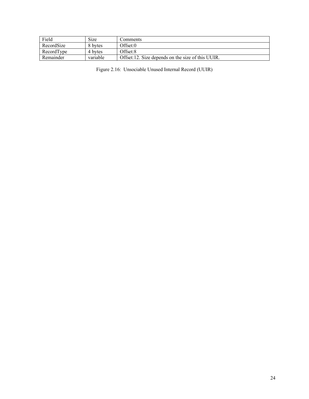| Field      | Size     | Comments                                           |
|------------|----------|----------------------------------------------------|
| RecordSize | 8 bytes  | Offset:0                                           |
| RecordType | 4 bytes  | Offset:8                                           |
| Remainder  | variable | Offset: 12. Size depends on the size of this UUIR. |

Figure 2.16: Unsociable Unused Internal Record (UUIR)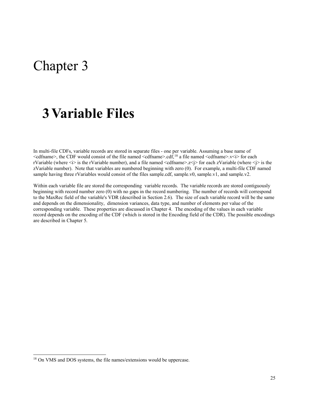# Chapter 3

# <span id="page-29-0"></span>**3Variable Files**

In multi-file CDFs, variable records are stored in separate files - one per variable. Assuming a base name of  $\leq$ cdfname>, the CDF would consist of the file named  $\leq$ cdfname>.cdf,<sup>[18](#page-29-1)</sup> a file named  $\leq$ cdfname>.v $\leq$ i> for each rVariable (where <i> is the rVariable number), and a file named <cdfname>.z<j> for each zVariable (where <j> is the zVariable number). Note that variables are numbered beginning with zero (0). For example, a multi-file CDF named sample having three rVariables would consist of the files sample.cdf, sample.v0, sample.v1, and sample.v2.

Within each variable file are stored the corresponding variable records. The variable records are stored contiguously beginning with record number zero (0) with no gaps in the record numbering. The number of records will correspond to the MaxRec field of the variable's VDR (described in Section 2.6). The size of each variable record will be the same and depends on the dimensionality, dimension variances, data type, and number of elements per value of the corresponding variable. These properties are discussed in Chapter [4.](#page-30-0) The encoding of the values in each variable record depends on the encoding of the CDF (which is stored in the Encoding field of the CDR). The possible encodings are described in Chapter [5.](#page-33-0)

<span id="page-29-1"></span><sup>&</sup>lt;sup>18</sup> On VMS and DOS systems, the file names/extensions would be uppercase.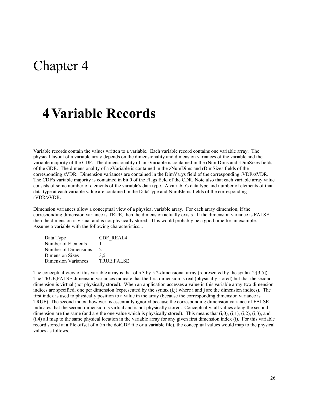# Chapter 4

# <span id="page-30-0"></span>**4Variable Records**

Variable records contain the values written to a variable. Each variable record contains one variable array. The physical layout of a variable array depends on the dimensionality and dimension variances of the variable and the variable majority of the CDF. The dimensionality of an rVariable is contained in the rNumDims and rDimSizes fields of the GDR. The dimensionality of a zVariable is contained in the zNumDims and rDimSizes fields of the corresponding zVDR. Dimension variances are contained in the DimVarys field of the corresponding rVDR/zVDR. The CDF's variable majority is contained in bit 0 of the Flags field of the CDR. Note also that each variable array value consists of some number of elements of the variable's data type. A variable's data type and number of elements of that data type at each variable value are contained in the DataType and NumElems fields of the corresponding rVDR/zVDR.

Dimension variances allow a conceptual view of a physical variable array. For each array dimension, if the corresponding dimension variance is TRUE, then the dimension actually exists. If the dimension variance is FALSE, then the dimension is virtual and is not physically stored. This would probably be a good time for an example. Assume a variable with the following characteristics...

| Data Type            | <b>CDF REAL4</b>  |
|----------------------|-------------------|
| Number of Elements   |                   |
| Number of Dimensions |                   |
| Dimension Sizes      | 3.5               |
| Dimension Variances  | <b>TRUE.FALSE</b> |

The conceptual view of this variable array is that of a 3 by 5 2-dimensional array (represented by the syntax 2:[3,5]). The TRUE,FALSE dimension variances indicate that the first dimension is real (physically stored) but that the second dimension is virtual (not physically stored). When an application accesses a value in this variable array two dimension indices are specified, one per dimension (represented by the syntax (i,j) where i and j are the dimension indices). The first index is used to physically position to a value in the array (because the corresponding dimension variance is TRUE). The second index, however, is essentially ignored because the corresponding dimension variance of FALSE indicates that the second dimension is virtual and is not physically stored. Conceptually, all values along the second dimension are the same (and are the one value which is physically stored). This means that  $(i,0)$ ,  $(i,1)$ ,  $(i,2)$ ,  $(i,3)$ , and  $(i,4)$  all map to the same physical location in the variable array for any given first dimension index  $(i)$ . For this variable record stored at a file offset of n (in the dotCDF file or a variable file), the conceptual values would map to the physical values as follows...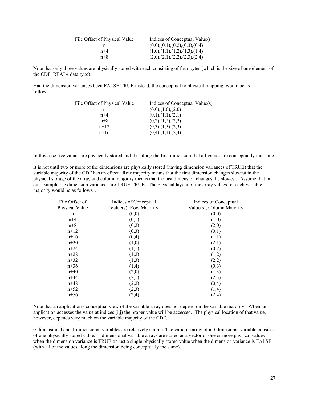| File Offset of Physical Value | Indices of Conceptual Value(s)    |
|-------------------------------|-----------------------------------|
|                               | (0,0),(0,1),(0,2),(0,3),(0,4)     |
| $n+4$                         | (1,0), (1,1), (1,2), (1,3), (1,4) |
| $n+8$                         | (2,0),(2,1),(2,2),(2,3),(2,4)     |

Note that only three values are physically stored with each consisting of four bytes (which is the size of one element of the CDF\_REAL4 data type).

Had the dimension variances been FALSE,TRUE instead, the conceptual to physical mapping would be as follows...

| File Offset of Physical Value | Indices of Conceptual Value(s) |  |
|-------------------------------|--------------------------------|--|
|                               | (0,0), (1,0), (2,0)            |  |
| $n+4$                         | (0,1),(1,1),(2,1)              |  |
| $n+8$                         | (0,2),(1,2),(2,2)              |  |
| $n+12$                        | (0,3), (1,3), (2,3)            |  |
| $n+16$                        | $(0,4)$ , $(1,4)$ , $(2,4)$    |  |

In this case five values are physically stored and it is along the first dimension that all values are conceptually the same.

It is not until two or more of the dimensions are physically stored (having dimension variances of TRUE) that the variable majority of the CDF has an effect. Row majority means that the first dimension changes slowest in the physical storage of the array and column majority means that the last dimension changes the slowest. Assume that in our example the dimension variances are TRUE,TRUE. The physical layout of the array values for each variable majority would be as follows...

| File Offset of | Indices of Conceptual  | Indices of Conceptual     |
|----------------|------------------------|---------------------------|
| Physical Value | Value(s), Row Majority | Value(s), Column Majority |
| n              | (0,0)                  | (0,0)                     |
| $n+4$          | (0,1)                  | (1,0)                     |
| $n+8$          | (0,2)                  | (2,0)                     |
| $n+12$         | (0,3)                  | (0,1)                     |
| $n+16$         | (0,4)                  | (1,1)                     |
| $n+20$         | (1,0)                  | (2,1)                     |
| $n + 24$       | (1,1)                  | (0,2)                     |
| $n+28$         | (1,2)                  | (1,2)                     |
| $n+32$         | (1,3)                  | (2,2)                     |
| $n+36$         | (1,4)                  | (0,3)                     |
| $n+40$         | (2,0)                  | (1,3)                     |
| $n+44$         | (2,1)                  | (2,3)                     |
| $n+48$         | (2,2)                  | (0,4)                     |
| $n+52$         | (2,3)                  | (1,4)                     |
| $n+56$         | (2,4)                  | (2,4)                     |

Note that an application's conceptual view of the variable array does not depend on the variable majority. When an application accesses the value at indices  $(i,j)$  the proper value will be accessed. The physical location of that value, however, depends very much on the variable majority of the CDF.

0-dimensional and 1-dimensional variables are relatively simple. The variable array of a 0-dimesional variable consists of one physically stored value. 1-dimensional variable arrays are stored as a vector of one or more physical values when the dimension variance is TRUE or just a single physically stored value when the dimension variance is FALSE (with all of the values along the dimension being conceptually the same).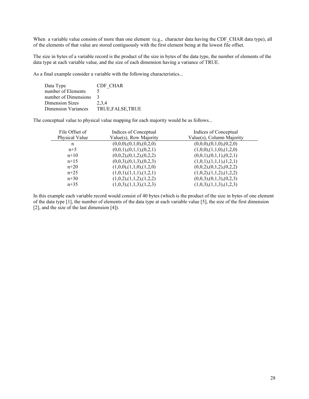When a variable value consists of more than one element (e.g., character data having the CDF CHAR data type), all of the elements of that value are stored contiguously with the first element being at the lowest file offset.

The size in bytes of a variable record is the product of the size in bytes of the data type, the number of elements of the data type at each variable value, and the size of each dimension having a variance of TRUE.

As a final example consider a variable with the following characteristics...

| Data Type            | CDF CHAR          |
|----------------------|-------------------|
| number of Elements   |                   |
| number of Dimensions |                   |
| Dimension Sizes      | 2,3,4             |
| Dimension Variances  | TRUE, FALSE, TRUE |

The conceptual value to physical value mapping for each majority would be as follows...

| File Offset of | Indices of Conceptual     | Indices of Conceptual     |
|----------------|---------------------------|---------------------------|
| Physical Value | Value(s), Row Majority    | Value(s), Column Majority |
| n              | (0,0,0), (0,1,0), (0,2,0) | (0,0,0), (0,1,0), (0,2,0) |
| $n+5$          | (0,0,1),(0,1,1),(0,2,1)   | (1,0,0), (1,1,0), (1,2,0) |
| $n+10$         | (0,0,2), (0,1,2), (0,2,2) | (0,0,1),(0,1,1),(0,2,1)   |
| $n+15$         | (0,0,3), (0,1,3), (0,2,3) | (1,0,1), (1,1,1), (1,2,1) |
| $n+20$         | (1,0,0), (1,1,0), (1,2,0) | (0,0,2), (0,1,2), (0,2,2) |
| $n+25$         | (1,0,1), (1,1,1), (1,2,1) | (1,0,2), (1,1,2), (1,2,2) |
| $n+30$         | (1,0,2), (1,1,2), (1,2,2) | (0,0,3), (0,1,3), (0,2,3) |
| $n+35$         | (1,0,3), (1,1,3), (1,2,3) | (1,0,3), (1,1,3), (1,2,3) |

In this example each variable record would consist of 40 bytes (which is the product of the size in bytes of one element of the data type [1], the number of elements of the data type at each variable value [5], the size of the first dimension [2], and the size of the last dimension [4]).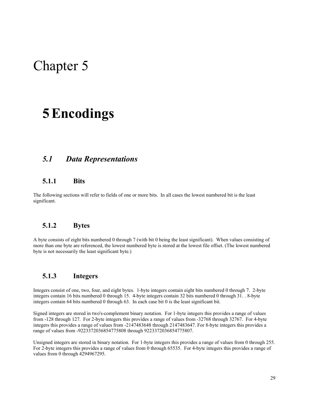# Chapter 5

# <span id="page-33-0"></span>**5Encodings**

## *5.1 Data Representations*

### **5.1.1 Bits**

The following sections will refer to fields of one or more bits. In all cases the lowest numbered bit is the least significant.

### **5.1.2 Bytes**

A byte consists of eight bits numbered 0 through 7 (with bit 0 being the least significant). When values consisting of more than one byte are referenced, the lowest numbered byte is stored at the lowest file offset. (The lowest numbered byte is not necessarily the least significant byte.)

### **5.1.3 Integers**

Integers consist of one, two, four, and eight bytes. 1-byte integers contain eight bits numbered 0 through 7. 2-byte integers contain 16 bits numbered 0 through 15. 4-byte integers contain 32 bits numbered 0 through 31. . 8-byte integers contain 64 bits numbered 0 through 63. In each case bit 0 is the least significant bit.

Signed integers are stored in two's-complement binary notation. For 1-byte integers this provides a range of values from -128 through 127. For 2-byte integers this provides a range of values from -32768 through 32767. For 4-byte integers this provides a range of values from -2147483648 through 2147483647. For 8-byte integers this provides a range of values from -9223372036854775808 through 9223372036854775807.

Unsigned integers are stored in binary notation. For 1-byte integers this provides a range of values from 0 through 255. For 2-byte integers this provides a range of values from 0 through 65535. For 4-byte integers this provides a range of values from 0 through 4294967295.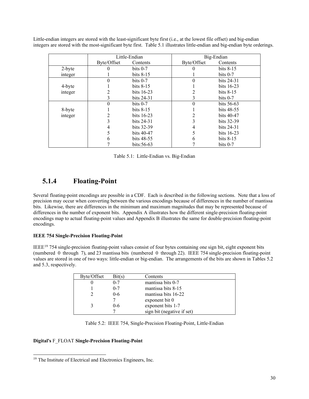Little-endian integers are stored with the least-significant byte first (i.e., at the lowest file offset) and big-endian integers are stored with the most-significant byte first. Table 5.1 illustrates little-endian and big-endian byte orderings.

|         |             | Little-Endian |             | Big-Endian   |
|---------|-------------|---------------|-------------|--------------|
|         | Byte/Offset | Contents      | Byte/Offset | Contents     |
| 2-byte  |             | bits $0-7$    |             | bits $8-15$  |
| integer |             | bits $8-15$   |             | bits $0-7$   |
|         | 0           | bits $0-7$    | 0           | bits 24-31   |
| 4-byte  |             | bits $8-15$   |             | bits $16-23$ |
| integer |             | bits $16-23$  |             | bits $8-15$  |
|         | 3           | bits $24-31$  | 3           | bits $0-7$   |
|         | 0           | bits $0-7$    |             | bits $56-63$ |
| 8-byte  |             | bits $8-15$   |             | bits 48-55   |
| integer |             | bits $16-23$  |             | bits $40-47$ |
|         |             | bits $24-31$  |             | bits 32-39   |
|         | 4           | bits 32-39    | 4           | bits 24-31   |
|         |             | bits 40-47    |             | bits 16-23   |
|         | h           | bits 48-55    | h           | bits $8-15$  |
|         |             | bits: $56-63$ |             | bits $0-7$   |

| Table 5.1: Little-Endian vs. Big-Endian |  |
|-----------------------------------------|--|
|-----------------------------------------|--|

## **5.1.4 Floating-Point**

Several floating-point encodings are possible in a CDF. Each is described in the following sections. Note that a loss of precision may occur when converting between the various encodings because of differences in the number of mantissa bits. Likewise, there are differences in the minimum and maximum magnitudes that may be represented because of differences in the number of exponent bits. Appendix A illustrates how the different single-precision floating-point encodings map to actual floating-point values and Appendix B illustrates the same for double-precision floating-point encodings.

### **IEEE 754 Single-Precision Floating-Point**

IEEE[19](#page-34-0) 754 single-precision floating-point values consist of four bytes containing one sign bit, eight exponent bits (numbered 0 through 7), and 23 mantissa bits (numbered 0 through 22). IEEE 754 single-precision floating-point values are stored in one of two ways: little-endian or big-endian. The arrangements of the bits are shown in Tables 5.2 and 5.3, respectively.

| Byte/Offset | Bit(s)  | Contents                   |
|-------------|---------|----------------------------|
|             | $0 - 7$ | mantissa bits 0-7          |
|             | $0 - 7$ | mantissa bits 8-15         |
|             | $0 - 6$ | mantissa bits 16-22        |
|             |         | exponent bit 0             |
|             | 0-6     | exponent bits 1-7          |
|             |         | sign bit (negative if set) |

Table 5.2: IEEE 754, Single-Precision Floating-Point, Little-Endian

### **Digital's** F\_FLOAT **Single-Precision Floating-Point**

<span id="page-34-0"></span><sup>&</sup>lt;sup>19</sup> The Institute of Electrical and Electronics Engineers, Inc.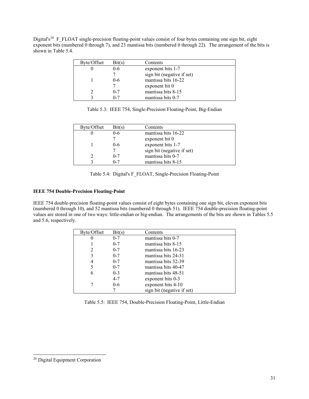Digital's<sup>20</sup> F\_FLOAT single-precision floating-point values consist of four bytes containing one sign bit, eight exponent bits (numbered  $\overline{0}$  through 7), and 23 mantissa bits (numbered 0 through 22). The arrangement of the bits is shown in Table 5.4.

| Byte/Offset | Bit(s)  | Contents                   |
|-------------|---------|----------------------------|
|             | $0 - 6$ | exponent bits 1-7          |
|             |         | sign bit (negative if set) |
|             | $0 - 6$ | mantissa bits 16-22        |
|             |         | exponent bit 0             |
|             | $0 - 7$ | mantissa bits 8-15         |
|             | 0-7     | mantissa bits 0-7          |

Table 5.3: IEEE 754, Single-Precision Floating-Point, Big-Endian

| Byte/Offset | Bit(s)  | Contents                   |
|-------------|---------|----------------------------|
|             | $0 - 6$ | mantissa bits 16-22        |
|             |         | exponent bit 0             |
|             | $0 - 6$ | exponent bits 1-7          |
|             |         | sign bit (negative if set) |
|             | $0 - 7$ | mantissa bits 0-7          |
|             | $0 - 7$ | mantissa bits 8-15         |
|             |         |                            |

Table 5.4: Digital's F\_FLOAT, Single-Precision Floating-Point

### **IEEE 754 Double-Precision Floating-Point**

IEEE 754 double-precision floating-point values consist of eight bytes containing one sign bit, eleven exponent bits (numbered 0 through 10), and 52 mantissa bits (numbered 0 through 51). IEEE 754 double-precision floating-point values are stored in one of two ways: little-endian or big-endian. The arrangements of the bits are shown in Tables 5.5 and 5.6, respectively.

| Byte/Offset | Bit(s)  | Contents                   |
|-------------|---------|----------------------------|
| O           | $0 - 7$ | mantissa bits 0-7          |
|             | $0 - 7$ | mantissa bits 8-15         |
|             | $0 - 7$ | mantissa bits 16-23        |
| 3           | $0 - 7$ | mantissa bits 24-31        |
| 4           | $0 - 7$ | mantissa bits 32-39        |
|             | $0 - 7$ | mantissa bits 40-47        |
| 6           | $0 - 3$ | mantissa bits 48-51        |
|             | $4 - 7$ | exponent bits 0-3          |
|             | $0 - 6$ | exponent bits 4-10         |
|             |         | sign bit (negative if set) |

|  |  |  |  |  |  | Table 5.5: IEEE 754, Double-Precision Floating-Point, Little-Endian |
|--|--|--|--|--|--|---------------------------------------------------------------------|
|--|--|--|--|--|--|---------------------------------------------------------------------|

<span id="page-35-0"></span>Digital Equipment Corporation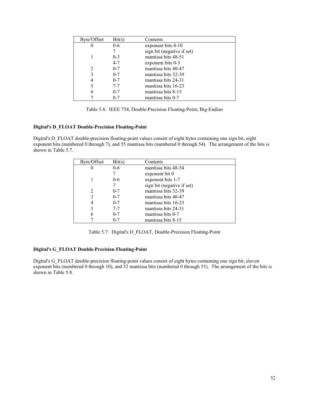| Byte/Offset | Bit(s)  | Contents                   |
|-------------|---------|----------------------------|
|             | $0 - 6$ | exponent bits 4-10         |
|             |         | sign bit (negative if set) |
|             | $0 - 3$ | mantissa bits 48-51        |
|             | $4 - 7$ | exponent bits 0-3          |
|             | $0 - 7$ | mantissa bits 40-47        |
|             | $0 - 7$ | mantissa bits 32-39        |
|             | $0 - 7$ | mantissa bits 24-31        |
|             | $7 - 7$ | mantissa bits 16-23        |
| 6           | $0 - 7$ | mantissa bits 8-15         |
|             | $0 - 7$ | mantissa bits 0-7          |

Table 5.6: IEEE 754, Double-Precision Floating-Point, Big-Endian

### **Digital's D\_FLOAT Double-Precision Floating-Point**

Digital's D\_FLOAT double-precision floating-point values consist of eight bytes containing one sign bit, eight exponent bits (numbered 0 through 7), and 55 mantissa bits (numbered 0 through 54). The arrangement of the bits is shown in Table 5.7.

| Byte/Offset | Bit(s)  | Contents                   |
|-------------|---------|----------------------------|
| U           | $0 - 6$ | mantissa bits 48-54        |
|             |         | exponent bit 0             |
|             | $0 - 6$ | exponent bits 1-7          |
|             |         | sign bit (negative if set) |
|             | $0 - 7$ | mantissa bits 32-39        |
|             | $0 - 7$ | mantissa bits 40-47        |
|             | $0 - 7$ | mantissa bits 16-23        |
|             | $7 - 7$ | mantissa bits 24-31        |
| 6           | $0 - 7$ | mantissa bits 0-7          |
|             | $0 - 7$ | mantissa bits 8-15         |

Table 5.7: Digital's D\_FLOAT, Double-Precision Floating-Point

### **Digital's G\_FLOAT Double-Precision Floating-Point**

Digital's G\_FLOAT double-precision floating-point values consist of eight bytes containing one sign bit, eleven exponent bits (numbered 0 through 10), and 52 mantissa bits (numbered 0 through 51). The arrangement of the bits is shown in Table 5.8.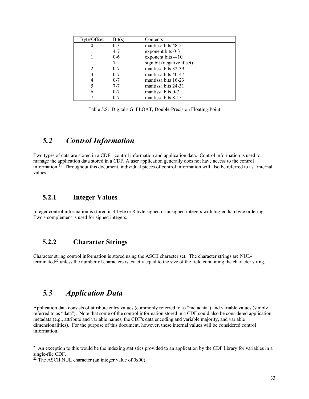| Byte/Offset | Bit(s)  | Contents                   |
|-------------|---------|----------------------------|
|             | $0 - 3$ | mantissa bits 48-51        |
|             | $4 - 7$ | exponent bits 0-3          |
|             | $0 - 6$ | exponent bits 4-10         |
|             |         | sign bit (negative if set) |
|             | $0 - 7$ | mantissa bits 32-39        |
|             | $0 - 7$ | mantissa bits 40-47        |
|             | $0 - 7$ | mantissa bits 16-23        |
|             | $7 - 7$ | mantissa bits 24-31        |
| 6           | $0 - 7$ | mantissa bits 0-7          |
|             | $0 - 7$ | mantissa bits 8-15         |

Table 5.8: Digital's G\_FLOAT, Double-Precision Floating-Point

## *5.2 Control Information*

Two types of data are stored in a CDF - control information and application data. Control information is used to manage the application data stored in a CDF. A user application generally does not have access to the control information.[21](#page-37-0) Throughout this document, individual pieces of control information will also be referred to as "internal values."

## **5.2.1 Integer Values**

Integer control information is stored in 4-byte or 8-byte signed or unsigned integers with big-endian byte ordering. Two's-complement is used for signed integers.

### **5.2.2 Character Strings**

Character string control information is stored using the ASCII character set. The character strings are NUL-terminated<sup>[22](#page-37-1)</sup> unless the number of characters is exactly equal to the size of the field containing the character string.

## *5.3 Application Data*

Application data consists of attribute entry values (commonly referred to as "metadata") and variable values (simply referred to as "data"). Note that some of the control information stored in a CDF could also be considered application metadata (e.g., attribute and variable names, the CDF's data encoding and variable majority, and variable dimensionalities). For the purpose of this document, however, these internal values will be considered control information.

<span id="page-37-0"></span> $^{21}$  An exception to this would be the indexing statistics provided to an application by the CDF library for variables in a single-file CDF.

<span id="page-37-1"></span> $22$  The ASCII NUL character (an integer value of 0x00).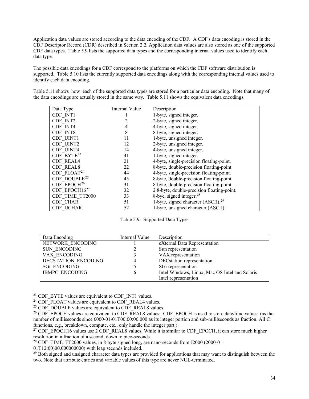Application data values are stored according to the data encoding of the CDF. A CDF's data encoding is stored in the CDF Descriptor Record (CDR) described in Section 2.2. Application data values are also stored as one of the supported CDF data types. Table 5.9 lists the supported data types and the corresponding internal values used to identify each data type.

The possible data encodings for a CDF correspond to the platforms on which the CDF software distribution is supported. Table 5.10 lists the currently supported data encodings along with the corresponding internal values used to identify each data encoding.

| Data Type                | Internal Value | Description                                     |
|--------------------------|----------------|-------------------------------------------------|
| CDF INT1                 |                | 1-byte, signed integer.                         |
| CDF INT2                 |                | 2-byte, signed integer.                         |
| CDF INT4                 | 4              | 4-byte, signed integer.                         |
| CDF INT8                 | 8              | 8-byte, signed integer.                         |
| CDF UINT1                | 11             | 1-byte, unsigned integer.                       |
| CDF UINT2                | 12             | 2-byte, unsigned integer.                       |
| CDF UINT4                | 14             | 4-byte, unsigned integer.                       |
| CDF BYTE <sup>23</sup>   | 41             | 1-byte, signed integer.                         |
| <b>CDF REAL4</b>         | 21             | 4-byte, single-precision floating-point.        |
| <b>CDF REAL8</b>         | 22             | 8-byte, double-precision floating-point.        |
| $CDF$ $FLOAT24$          | 44             | 4-byte, single-precision floating-point.        |
| CDF DOUBLE <sup>25</sup> | 45             | 8-byte, double-precision floating-point.        |
| $CDF$ $EPOCH26$          | 31             | 8-byte, double-precision floating-point.        |
| CDF EPOCH $16^{27}$      | 32             | 2 8-byte, double-precision floating-point.      |
| CDF TIME TT2000          | 33             | 8-bye, signed integer. <sup>28</sup>            |
| CDF CHAR                 | 51             | 1-byte, signed character (ASCII). <sup>29</sup> |
| <b>CDF UCHAR</b>         | 52             | 1-byte, unsigned character (ASCII)              |

Table 5.11 shows how each of the supported data types are stored for a particular data encoding. Note that many of the data encodings are actually stored in the same way. Table 5.11 shows the equivalent data encodings.

Table 5.9: Supported Data Types

| Data Encoding         | Internal Value | Description                                    |
|-----------------------|----------------|------------------------------------------------|
| NETWORK ENCODING      |                | eXternal Data Representation                   |
| <b>SUN ENCODING</b>   |                | Sun representation                             |
| VAX ENCODING          |                | VAX representation                             |
| DECSTATION ENCODING   |                | DECstation representation                      |
| <b>SGi ENCODING</b>   |                | SGi representation                             |
| <b>IBMPC ENCODING</b> | h              | Intel Windows, Linux, Mac OS Intel and Solaris |
|                       |                | Intel representation                           |

<span id="page-38-0"></span> $23$  CDF BYTE values are equivalent to CDF INT1 values.

01T12:00)00.000000000) with leap seconds included.

<span id="page-38-6"></span><sup>29</sup> Both signed and unsigned character data types are provided for applications that may want to distinguish between the two. Note that attribute entries and variable values of this type are never NUL-terminated.

<span id="page-38-1"></span><sup>&</sup>lt;sup>24</sup> CDF<sup>-</sup>FLOAT values are equivalent to CDF\_REAL4 values.

<span id="page-38-2"></span> $25$  CDF\_DOUBLE values are equivalent to CDF\_REAL8 values.

<span id="page-38-3"></span><sup>&</sup>lt;sup>26</sup> CDF\_EPOCH values are equivalent to CDF\_REAL8 values. CDF\_EPOCH is used to store date/time values (as the number of milliseconds since 0000-01-01T00:00:00.000 as its integer portion and sub-milliseconds as fraction. All C functions, e.g., breakdown, compute, etc., only handle the integer part.).

<span id="page-38-4"></span><sup>&</sup>lt;sup>27</sup> CDF\_EPOCH16 values use 2 CDF\_REAL8 values. While it is similar to CDF\_EPOCH, it can store much higher resolution in a fraction of a second, down to pico-seconds.

<span id="page-38-5"></span><sup>&</sup>lt;sup>28</sup> CDF TIME TT2000 values, in 8-byte signed long, are nano-seconds from J2000 (2000-01-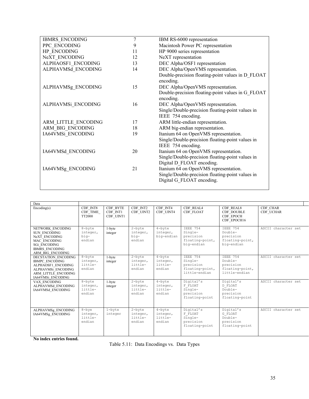| <b>IBMRS ENCODING</b> | 7  | IBM RS-6000 representation                                             |
|-----------------------|----|------------------------------------------------------------------------|
| PPC ENCODING          | 9  | Macintosh Power PC representation                                      |
| HP ENCODING           | 11 | HP 9000 series representation                                          |
| NeXT ENCODING         | 12 | NeXT representation                                                    |
| ALPHAOSF1 ENCODING    | 13 | DEC Alpha/OSF1 representation                                          |
| ALPHAVMSd ENCODING    | 14 | DEC Alpha/OpenVMS representation.                                      |
|                       |    | Double-precision floating-point values in D FLOAT<br>encoding.         |
| ALPHAVMSg ENCODING    | 15 | DEC Alpha/OpenVMS representation.                                      |
|                       |    | Double-precision floating-point values in G FLOAT<br>encoding.         |
| ALPHAVMSi ENCODING    | 16 | DEC Alpha/OpenVMS representation.                                      |
|                       |    | Single/Double-precision floating-point values in<br>IEEE 754 encoding. |
| ARM LITTLE ENCODING   | 17 | ARM little-endian representation.                                      |
| ARM BIG ENCODING      | 18 | ARM big-endian representation.                                         |
| IA64VMSi ENCODING     | 19 | Itanium 64 on OpenVMS representation.                                  |
|                       |    | Single/Double-precision floating-point values in<br>IEEE 754 encoding. |
| IA64VMSd ENCODING     | 20 | Itanium 64 on OpenVMS representation.                                  |
|                       |    | Single/Double-precision floating-point values in                       |
|                       |    | Digital D FLOAT encoding.                                              |
| IA64VMSg_ENCODING     | 21 | Itanium 64 on OpenVMS representation.                                  |
|                       |    | Single/Double-precision floating-point values in                       |
|                       |    | Digital G FLOAT encoding.                                              |
|                       |    |                                                                        |

| Data                                                                                                                                  |                                             |                                   |                                            |                                            |                                                                             |                                                                             |                       |
|---------------------------------------------------------------------------------------------------------------------------------------|---------------------------------------------|-----------------------------------|--------------------------------------------|--------------------------------------------|-----------------------------------------------------------------------------|-----------------------------------------------------------------------------|-----------------------|
| Encoding(s)                                                                                                                           | CDF INT8<br>CDF TIME<br>TT2000              | CDF BYTE<br>CDF INT1<br>CDF UINT1 | CDF INT2<br>CDF UINT2                      | CDF INT4<br>CDF UINT4                      | CDF REAL4<br>CDF FLOAT                                                      | CDF REAL8<br><b>CDF DOUBLE</b><br>CDF EPOCH<br>CDF EPOCH16                  | CDF CHAR<br>CDF UCHAR |
| NETWORK ENCODING<br><b>SUN ENCODING</b><br>NeXT ENCODING<br>MAC ENCODING<br>SGi ENCODING<br><b>IBMRS ENCODING</b><br>ARM BIG ENCODING | 8-byte<br>integer,<br>biq-<br>endian        | 1-byte<br>integer                 | $2$ -byte<br>integer,<br>biq-<br>endian    | $4$ -byte<br>integer,<br>big-endian        | <b>TEEE 754</b><br>Single-<br>precision<br>floating-point,<br>big-endian    | <b>TEEE 754</b><br>Double-<br>precision<br>floating-point,<br>big-endian    | ASCII character set   |
| DECSTATION ENCODING<br><b>IBMPC ENCODING</b><br>ALPHAOSF1 ENCODING<br>ALPHAVMSi ENCODING<br>ARM LITTLE ENCODING<br>IA64VMSi ENCODING  | 8-byte<br>integer,<br>little-<br>endian     | 1-byte<br>integer                 | $2$ -byte<br>integer,<br>little-<br>endian | $4$ -byte<br>integer,<br>little-<br>endian | <b>TEEE 754</b><br>Single-<br>precision<br>floating-point,<br>little-endian | <b>TEEE 754</b><br>Double-<br>precision<br>floating-point,<br>little-endian | ASCII character set   |
| VAX ENCODING<br>ALPHAVMSd ENCODING<br>IA64VMSd ENCODING                                                                               | 8-byte<br>integer,<br>little-<br>endian     | 1-byte<br>integer                 | $2$ -byte<br>integer,<br>little-<br>endian | $4$ -byte<br>integer,<br>little-<br>endian | Digital's<br>F FLOAT<br>Single-<br>precision<br>floating-point              | Digital's<br>D FLOAT<br>$Double-$<br>precision<br>floating-point            | ASCII character set   |
| ALPHAVMSg ENCODING<br>IA64VMSg ENCODING                                                                                               | $8 - b$ ye<br>integer,<br>little-<br>endian | $1 - b$ yte<br>integer            | $2$ -byte<br>integer,<br>little-<br>endian | $4$ -byte<br>integer,<br>little-<br>endian | Digital's<br>F FLOAT<br>Single-<br>precision<br>floating-point              | Digital's<br>G FLOAT<br>Double-<br>precision<br>floating-point              | ASCII character set   |

**No index entries found.**

Table 5.11: Data Encodings vs. Data Types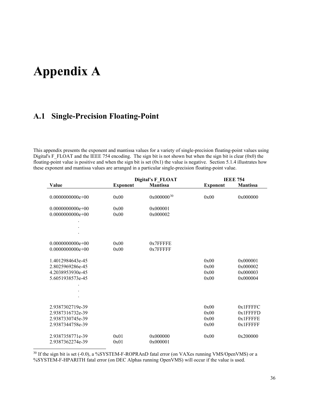# **Appendix A**

## **A.1 Single-Precision Floating-Point**

This appendix presents the exponent and mantissa values for a variety of single-precision floating-point values using Digital's F\_FLOAT and the IEEE 754 encoding. The sign bit is not shown but when the sign bit is clear (0x0) the floating-point value is positive and when the sign bit is set  $(0x1)$  the value is negative. Section 5.1.4 illustrates how these exponent and mantissa values are arranged in a particular single-precision floating-point value.

|                    | Digital's F_FLOAT |                        |                 | <b>IEEE 754</b> |
|--------------------|-------------------|------------------------|-----------------|-----------------|
| Value              | <b>Exponent</b>   | <b>Mantissa</b>        | <b>Exponent</b> | <b>Mantissa</b> |
| $0.0000000000e+00$ | 0x00              | 0x000000 <sup>30</sup> | 0x00            | 0x000000        |
| $0.0000000000e+00$ | 0x00              | 0x000001               |                 |                 |
| $0.0000000000e+00$ | 0x00              | 0x000002               |                 |                 |
|                    |                   |                        |                 |                 |
|                    |                   |                        |                 |                 |
| $0.0000000000e+00$ | 0x00              | $0x7$ FFFFE            |                 |                 |
| $0.0000000000e+00$ | 0x00              | $0x7$ FFFFF            |                 |                 |
| 1.4012984643e-45   |                   |                        | 0x00            | 0x000001        |
| 2.8025969286e-45   |                   |                        | 0x00            | 0x000002        |
| 4.2038953930e-45   |                   |                        | 0x00            | 0x000003        |
| 5.6051938573e-45   |                   |                        | 0x00            | 0x000004        |
|                    |                   |                        |                 |                 |
|                    |                   |                        |                 |                 |
| 2.9387302719e-39   |                   |                        | 0x00            | 0x1FFFFC        |
| 2.9387316732e-39   |                   |                        | 0x00            | $0x1$ FFFFD     |
| 2.9387330745e-39   |                   |                        | 0x00            | 0x1FFFFE        |
| 2.9387344758e-39   |                   |                        | 0x00            | 0x1FFFFF        |
| 2.9387358771e-39   | 0x01              | 0x000000               | 0x00            | 0x200000        |
| 2.9387362274e-39   | 0x01              | 0x000001               |                 |                 |

<span id="page-40-0"></span><sup>&</sup>lt;sup>30</sup> If the sign bit is set (-0.0), a %SYSTEM-F-ROPRAnD fatal error (on VAXes running VMS/OpenVMS) or a %SYSTEM-F-HPARITH fatal error (on DEC Alphas running OpenVMS) will occur if the value is used.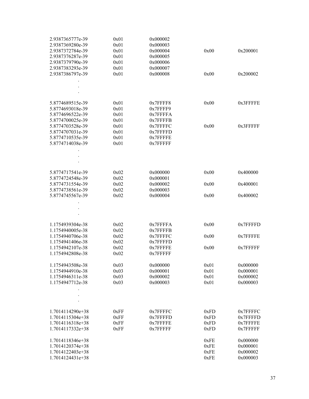| 2.9387365777e-39   | 0x01 | 0x000002 |      |             |
|--------------------|------|----------|------|-------------|
| 2.9387369280e-39   | 0x01 | 0x000003 |      |             |
| 2.9387372784e-39   | 0x01 | 0x000004 | 0x00 | 0x200001    |
| 2.9387376287e-39   | 0x01 | 0x000005 |      |             |
| 2.9387379790e-39   | 0x01 | 0x000006 |      |             |
| 2.9387383293e-39   | 0x01 | 0x000007 |      |             |
| 2.9387386797e-39   | 0x01 | 0x000008 | 0x00 | 0x200002    |
|                    |      |          |      |             |
|                    |      |          |      |             |
|                    |      |          |      |             |
|                    |      |          |      |             |
| 5.8774689515e-39   | 0x01 | 0x7FFFF8 | 0x00 | $0x3$ FFFFE |
| 5.8774693018e-39   | 0x01 | 0x7FFFF9 |      |             |
| 5.8774696522e-39   | 0x01 | 0x7FFFFA |      |             |
| 5.8774700025e-39   | 0x01 | 0x7FFFFB |      |             |
| 5.8774703528e-39   | 0x01 | 0x7FFFFC | 0x00 | $0x3$ FFFFF |
| 5.8774707031e-39   | 0x01 | 0x7FFFFD |      |             |
| 5.8774710535e-39   | 0x01 | 0x7FFFFE |      |             |
| 5.8774714038e-39   | 0x01 | 0x7FFFFF |      |             |
|                    |      |          |      |             |
|                    |      |          |      |             |
|                    |      |          |      |             |
|                    |      |          |      |             |
| 5.8774717541e-39   | 0x02 | 0x000000 | 0x00 | 0x400000    |
| 5.8774724548e-39   | 0x02 | 0x000001 |      |             |
| 5.8774731554e-39   | 0x02 | 0x000002 | 0x00 | 0x400001    |
| 5.8774738561e-39   | 0x02 | 0x000003 |      |             |
| 5.8774745567e-39   | 0x02 | 0x000004 | 0x00 | 0x400002    |
|                    |      |          |      |             |
|                    |      |          |      |             |
|                    |      |          |      |             |
|                    |      |          |      |             |
| 1.1754939304e-38   | 0x02 | 0x7FFFFA | 0x00 | 0x7FFFFD    |
| 1.1754940005e-38   | 0x02 | 0x7FFFFB |      |             |
| 1.1754940706e-38   | 0x02 | 0x7FFFFC | 0x00 | 0x7FFFFE    |
| 1.1754941406e-38   | 0x02 | 0x7FFFFD |      |             |
| 1.1754942107e-38   | 0x02 | 0x7FFFFE | 0x00 | 0x7FFFFF    |
| 1.1754942808e-38   | 0x02 | 0x7FFFFF |      |             |
| 1.1754943508e-38   |      |          |      |             |
|                    | 0x03 | 0x000000 | 0x01 | 0x000000    |
| 1.1754944910e-38   | 0x03 | 0x000001 | 0x01 | 0x000001    |
| 1.1754946311e-38   | 0x03 | 0x000002 | 0x01 | 0x000002    |
| 1.1754947712e-38   | 0x03 | 0x000003 | 0x01 | 0x000003    |
|                    |      |          |      |             |
|                    |      |          |      |             |
|                    |      |          |      |             |
| $1.7014114290e+38$ | 0xFF | 0x7FFFFC | 0xFD | 0x7FFFFC    |
| $1.7014115304e+38$ | 0xFF | 0x7FFFFD | 0xFD | 0x7FFFFD    |
| 1.7014116318e+38   | 0xFF | 0x7FFFFE | 0xFD | 0x7FFFFE    |
| 1.7014117332e+38   | 0xFF | 0x7FFFFF | 0xFD | 0x7FFFFF    |
|                    |      |          |      |             |
| 1.7014118346e+38   |      |          | 0xFE | 0x000000    |
| 1.7014120374e+38   |      |          | 0xFE | 0x000001    |
| 1.7014122403e+38   |      |          | 0xFE | 0x000002    |
| 1.7014124431e+38   |      |          | 0xFE | 0x000003    |
|                    |      |          |      |             |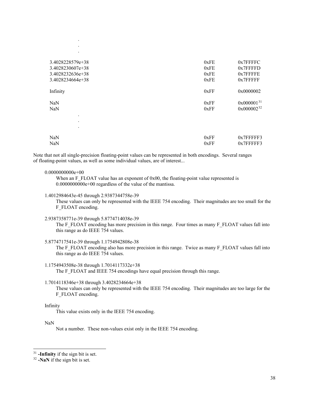| $\bullet$                           |      |                 |
|-------------------------------------|------|-----------------|
| 3.4028228579e+38                    | 0xFE | $0x7$ FFFFC     |
| 3.4028230607e+38                    | 0xFE | $0x7$ FFFFD     |
| 3.4028232636e+38                    | 0xFE | $0x7$ FFFFE     |
| 3.4028234664e+38                    | 0xFE | 0x7FFFFF        |
| Infinity                            | 0xFF | 0x0000002       |
| NaN                                 | 0xFF | $0x000001^{31}$ |
| NaN                                 | 0xFF | $0x000002^{32}$ |
| $\bullet$<br>$\bullet$<br>$\bullet$ |      |                 |
| NaN                                 | 0xFF | $0x7$ FFFFF3    |
| NaN                                 | 0xFF | $0x7$ FFFFF3    |

Note that not all single-precision floating-point values can be represented in both encodings. Several ranges of floating-point values, as well as some individual values, are of interest...

#### 0.0000000000e+00

. .

When an F\_FLOAT value has an exponent of  $0x00$ , the floating-point value represented is 0.0000000000e+00 regardless of the value of the mantissa.

1.4012984643e-45 through 2.9387344758e-39

These values can only be represented with the IEEE 754 encoding. Their magnitudes are too small for the F\_FLOAT encoding.

2.9387358771e-39 through 5.8774714038e-39

The F\_FLOAT encoding has more precision in this range. Four times as many F\_FLOAT values fall into this range as do IEEE 754 values.

5.8774717541e-39 through 1.1754942808e-38

The F\_FLOAT encoding also has more precision in this range. Twice as many F\_FLOAT values fall into this range as do IEEE 754 values.

1.1754943508e-38 through 1.7014117332e+38

The F\_FLOAT and IEEE 754 encodings have equal precision through this range.

1.7014118346e+38 through 3.4028234664e+38

These values can only be represented with the IEEE 754 encoding. Their magnitudes are too large for the F\_FLOAT encoding.

### Infinity

This value exists only in the IEEE 754 encoding.

#### NaN

Not a number. These non-values exist only in the IEEE 754 encoding.

<span id="page-42-0"></span><sup>31</sup> **-Infinity** if the sign bit is set.

<span id="page-42-1"></span><sup>32</sup> **-NaN** if the sign bit is set.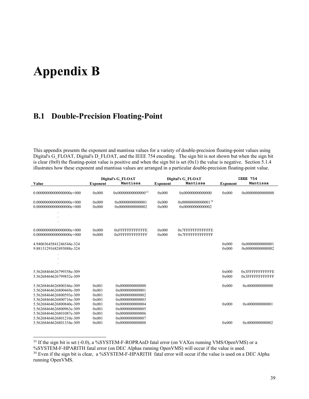# **Appendix B**

## **B.1 Double-Precision Floating-Point**

This appendix presents the exponent and mantissa values for a variety of double-precision floating-point values using Digital's G\_FLOAT, Digital's D\_FLOAT, and the IEEE 754 encoding. The sign bit is not shown but when the sign bit is clear (0x0) the floating-point value is positive and when the sign bit is set  $(0x1)$  the value is negative. Section 5.1.4 illustrates how these exponent and mantissa values are arranged in a particular double-precision floating-point value.

|                                                                                                                                          |                                           | Digital's G FLOAT                                                                           |                 | <b>Digital's G FLOAT</b>                    |                 | IEEE 754                                |
|------------------------------------------------------------------------------------------------------------------------------------------|-------------------------------------------|---------------------------------------------------------------------------------------------|-----------------|---------------------------------------------|-----------------|-----------------------------------------|
| Value                                                                                                                                    | <b>Exponent</b>                           | Mantissa                                                                                    | <b>Exponent</b> | Mantissa                                    | <b>Exponent</b> | Mantissa                                |
|                                                                                                                                          | 0x000                                     | 0x0000000000000033                                                                          | 0x000           | 0x00000000000000                            | 0x000           | 0x00000000000000                        |
|                                                                                                                                          | 0x000<br>0x000                            | 0x00000000000001<br>0x00000000000002                                                        | 0x000<br>0x000  | $0x00000000000001^{34}$<br>0x00000000000002 |                 |                                         |
|                                                                                                                                          |                                           |                                                                                             |                 |                                             |                 |                                         |
| $0.000000000000000000e+000$                                                                                                              | 0x000<br>0x000                            | <b>OXFFFFFFFFFFFFE</b><br><b>OXFFFFFFFFFFFFF</b>                                            | 0x000<br>0x000  | 0x7FFFFFFFFFFFFE<br>0x7FFFFFFFFFFFFF        |                 |                                         |
| 4.94065645841246544e-324<br>9.88131291682493088e-324                                                                                     |                                           |                                                                                             |                 |                                             | 0x000<br>0x000  | 0x00000000000001<br>0x00000000000002    |
|                                                                                                                                          |                                           |                                                                                             |                 |                                             |                 |                                         |
| 5.56268464626799358e-309<br>5.56268464626799852e-309                                                                                     |                                           |                                                                                             |                 |                                             | 0x000<br>0x000  | $0x3$ FFFFFFFFFFFFF<br>0x3FFFFFFFFFFFFF |
| 5.56268464626800346e-309<br>5.56268464626800469e-309                                                                                     | 0x001<br>0x001                            | 0x0000000000000<br>0x0000000000001                                                          |                 |                                             | 0x000           | 0x4000000000000                         |
| 5.56268464626800593e-309<br>5.56268464626800716e-309<br>5.56268464626800840e-309<br>5.56268464626800963e-309<br>5.56268464626801087e-309 | 0x001<br>0x001<br>0x001<br>0x001<br>0x001 | 0x0000000000002<br>0x0000000000003<br>0x0000000000004<br>0x0000000000005<br>0x0000000000006 |                 |                                             | 0x000           | 0x4000000000001                         |
| 5.56268464626801210e-309<br>5.56268464626801334e-309                                                                                     | 0x001<br>0x001                            | 0x0000000000007<br>0x0000000000008                                                          |                 |                                             | 0x000           | 0x4000000000002                         |

<span id="page-43-0"></span><sup>33</sup> If the sign bit is set (-0.0), a %SYSTEM-F-ROPRAnD fatal error (on VAXes running VMS/OpenVMS) or a %SYSTEM-F-HPARITH fatal error (on DEC Alphas running OpenVMS) will occur if the value is used.

<span id="page-43-1"></span><sup>&</sup>lt;sup>34</sup> Even if the sign bit is clear, a %SYSTEM-F-HPARITH fatal error will occur if the value is used on a DEC Alpha running OpenVMS.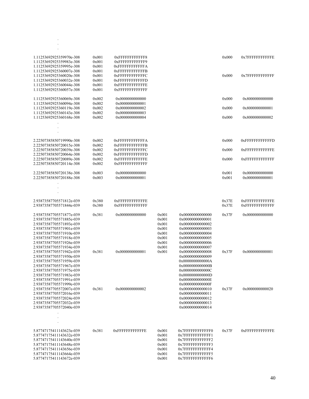| 1.11253692925359970e-308<br>1.11253692925359983e-308<br>1.11253692925359995e-308<br>1.11253692925360007e-308<br>1.11253692925360020e-308<br>1.11253692925360032e-308<br>1.11253692925360044e-308                             | 0x001<br>0x001<br>0x001<br>0x001<br>0x001<br>0x001<br>0x001 | 0xFFFFFFFFFFFFF8<br>0xFFFFFFFFFFFF9<br><b>0xFFFFFFFFFFFFA</b><br><b>0xFFFFFFFFFFFFB</b><br><b>0xFFFFFFFFFFFFC</b><br><b>0xFFFFFFFFFFFFD</b><br><b>OXFFFFFFFFFFFFE</b> |                                                                      |                                                                                                                                                              | 0x000<br>0x000 | 0x7FFFFFFFFFFFFE<br>0x7FFFFFFFFFFFFF              |
|------------------------------------------------------------------------------------------------------------------------------------------------------------------------------------------------------------------------------|-------------------------------------------------------------|-----------------------------------------------------------------------------------------------------------------------------------------------------------------------|----------------------------------------------------------------------|--------------------------------------------------------------------------------------------------------------------------------------------------------------|----------------|---------------------------------------------------|
| 1.11253692925360057e-308<br>1.11253692925360069e-308                                                                                                                                                                         | 0x001<br>0x002                                              | <b>OXFFFFFFFFFFFFF</b><br>0x0000000000000                                                                                                                             |                                                                      |                                                                                                                                                              | 0x000          | 0x8000000000000                                   |
| 1.11253692925360094e-308<br>1.11253692925360119e-308                                                                                                                                                                         | 0x002<br>0x002                                              | 0x0000000000001<br>0x0000000000002                                                                                                                                    |                                                                      |                                                                                                                                                              | 0x000          | 0x8000000000001                                   |
| 1.11253692925360143e-308<br>1.11253692925360168e-308                                                                                                                                                                         | 0x002<br>0x002                                              | 0x0000000000003<br>0x0000000000004                                                                                                                                    |                                                                      |                                                                                                                                                              | 0x000          | 0x8000000000002                                   |
|                                                                                                                                                                                                                              |                                                             |                                                                                                                                                                       |                                                                      |                                                                                                                                                              |                |                                                   |
|                                                                                                                                                                                                                              |                                                             |                                                                                                                                                                       |                                                                      |                                                                                                                                                              |                |                                                   |
| 2.22507385850719990e-308<br>2.22507385850720015e-308                                                                                                                                                                         | 0x002<br>0x002                                              | <b>0xFFFFFFFFFFFFA</b><br><b>0xFFFFFFFFFFFFB</b>                                                                                                                      |                                                                      |                                                                                                                                                              | 0x000          | 0xFFFFFFFFFFFFD                                   |
| 2.22507385850720039e-308<br>2.22507385850720064e-308                                                                                                                                                                         | 0x002<br>0x002                                              | <b>0xFFFFFFFFFFFFC</b><br><b>OXFFFFFFFFFFFFD</b>                                                                                                                      |                                                                      |                                                                                                                                                              | 0x000          | <b>OXFFFFFFFFFFFFE</b>                            |
| 2.22507385850720089e-308<br>2.22507385850720114e-308                                                                                                                                                                         | 0x002<br>0x002                                              | <b>OXFFFFFFFFFFFFE</b><br><b>OXFFFFFFFFFFFFF</b>                                                                                                                      |                                                                      |                                                                                                                                                              | 0x000          | <b>0xFFFFFFFFFFFFFF</b>                           |
| 2.22507385850720138e-308<br>2.22507385850720188e-308                                                                                                                                                                         | 0x003<br>0x003                                              | 0x0000000000000<br>0x0000000000001                                                                                                                                    |                                                                      |                                                                                                                                                              | 0x001<br>0x001 | 0x0000000000000<br>0x0000000000001                |
|                                                                                                                                                                                                                              |                                                             |                                                                                                                                                                       |                                                                      |                                                                                                                                                              |                |                                                   |
| 2.93873587705571812e-039<br>2.93873587705571844e-039                                                                                                                                                                         | 0x380<br>0x380                                              | <b>OXFFFFFFFFFFFFE</b><br><b>OXFFFFFFFFFFFFF</b>                                                                                                                      |                                                                      |                                                                                                                                                              | 0x37E<br>0x37E | <b>OXFFFFFFFFFFFFE</b><br><b>0xFFFFFFFFFFFFFF</b> |
| 2.93873587705571877e-039<br>2.93873587705571885e-039<br>2.93873587705571893e-039<br>2.93873587705571901e-039<br>2.93873587705571910e-039<br>2.93873587705571918e-039<br>2.93873587705571926e-039<br>2.93873587705571934e-039 | 0x381                                                       | 0x0000000000000                                                                                                                                                       | 0x001<br>0x001<br>0x001<br>0x001<br>0x001<br>0x001<br>0x001<br>0x001 | 0x00000000000000<br>0x00000000000001<br>0x00000000000002<br>0x00000000000003<br>0x00000000000004<br>0x00000000000005<br>0x00000000000006<br>0x00000000000007 | 0x37F          | 0x0000000000000                                   |
| 2.93873587705571942e-039<br>2.93873587705571950e-039<br>2.93873587705571959e-039<br>2.93873587705571967e-039<br>2.93873587705571975e-039<br>2.93873587705571983e-039<br>2.93873587705571991e-039                             | 0x381                                                       | 0x0000000000001                                                                                                                                                       | 0x001                                                                | 0x00000000000008<br>0x00000000000009<br>0x0000000000000A<br>0x0000000000000B<br>0x0000000000000C<br>0x0000000000000D<br>0x0000000000000E                     | 0x37F          | 0x0000000000001                                   |
| 2.93873587705571999e-039<br>2.93873587705572007e-039<br>2.93873587705572016e-039<br>2.93873587705572024e-039<br>2.93873587705572032e-039<br>2.93873587705572040e-039                                                         | 0x381                                                       | 0x0000000000002                                                                                                                                                       |                                                                      | 0x0000000000000F<br>0x00000000000010<br>0x00000000000011<br>0x00000000000012<br>0x00000000000013<br>0x00000000000014                                         | 0x37F          | 0x0000000000020                                   |
| 5.87747175411143623e-039<br>5.87747175411143632e-039<br>5.87747175411143640e-039<br>5.87747175411143648e-039<br>5.87747175411143656e-039<br>5.87747175411143664e-039<br>5.87747175411143672e-039                             | 0x381                                                       | <b>0xFFFFFFFFFFFFE</b>                                                                                                                                                | 0x001<br>0x001<br>0x001<br>0x001<br>0x001<br>0x001<br>0x001          | 0x7FFFFFFFFFFFFF0<br>0x7FFFFFFFFFFFF1<br>0x7FFFFFFFFFFFFF2<br>0x7FFFFFFFFFFFFF3<br>0x7FFFFFFFFFFFFF4<br>0x7FFFFFFFFFFFF5<br>0x7FFFFFFFFFFFF6                 | 0x37F          | <b>OXFFFFFFFFFFFFE</b>                            |

. . .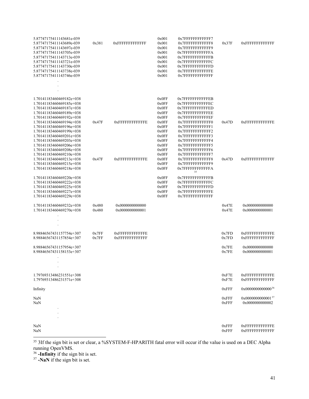| 5.87747175411143681e-039<br>5.87747175411143689e-039<br>5.87747175411143697e-039<br>5.87747175411143705e-039<br>5.87747175411143713e-039<br>5.87747175411143721e-039<br>5.87747175411143730e-039<br>5.87747175411143738e-039<br>5.87747175411143746e-039                             | 0x381          | <b>OXFFFFFFFFFFFFF</b>                           | 0x001<br>0x001<br>0x001<br>0x001<br>0x001<br>0x001<br>0x001<br>0x001<br>0x001          | 0x7FFFFFFFFFFFFF7<br>0x7FFFFFFFFFFFFF8<br>0x7FFFFFFFFFFFFF9<br>0x7FFFFFFFFFFFFA<br>0x7FFFFFFFFFFFFFB<br>0x7FFFFFFFFFFFFC<br>0x7FFFFFFFFFFFFD<br>0x7FFFFFFFFFFFFE<br>0x7FFFFFFFFFFFFFF                    | 0x37F          | <b>OXFFFFFFFFFFFFFF</b>                           |
|--------------------------------------------------------------------------------------------------------------------------------------------------------------------------------------------------------------------------------------------------------------------------------------|----------------|--------------------------------------------------|----------------------------------------------------------------------------------------|----------------------------------------------------------------------------------------------------------------------------------------------------------------------------------------------------------|----------------|---------------------------------------------------|
|                                                                                                                                                                                                                                                                                      |                |                                                  |                                                                                        |                                                                                                                                                                                                          |                |                                                   |
|                                                                                                                                                                                                                                                                                      |                |                                                  |                                                                                        |                                                                                                                                                                                                          |                |                                                   |
| 1.70141183460469182e+038<br>1.70141183460469185e+038<br>1.70141183460469187e+038<br>1.70141183460469189e+038<br>1.70141183460469192e+038<br>1.70141183460469194e+038<br>1.70141183460469196e+038<br>1.70141183460469199e+038<br>1.70141183460469201e+038<br>1.70141183460469203e+038 | 0x47F          | <b>OXFFFFFFFFFFFFE</b>                           | 0x0FF<br>0x0FF<br>0x0FF<br>0x0FF<br>0x0FF<br>0x0FF<br>0x0FF<br>0x0FF<br>0x0FF<br>0x0FF | 0x7FFFFFFFFFFFEB<br>0x7FFFFFFFFFFFEC<br>0x7FFFFFFFFFFFED<br>0x7FFFFFFFFFFFEE<br>0x7FFFFFFFFFFFEF<br>0x7FFFFFFFFFFFFF0<br>0x7FFFFFFFFFFFFF1<br>0x7FFFFFFFFFFFF2<br>0x7FFFFFFFFFFFFF3<br>0x7FFFFFFFFFFFFF4 | 0x47D          | <b>0xFFFFFFFFFFFFE</b>                            |
| 1.70141183460469206e+038                                                                                                                                                                                                                                                             |                |                                                  | 0x0FF                                                                                  | 0x7FFFFFFFFFFFF5                                                                                                                                                                                         |                |                                                   |
| 1.70141183460469208e+038<br>1.70141183460469210e+038<br>1.70141183460469213e+038<br>1.70141183460469215e+038<br>1.70141183460469218e+038                                                                                                                                             | 0x47F          | <b>OXFFFFFFFFFFFFE</b>                           | 0x0FF<br>0x0FF<br>0x0FF<br>0x0FF<br>0x0FF                                              | 0x7FFFFFFFFFFFF6<br>0x7FFFFFFFFFFFFF7<br>0x7FFFFFFFFFFFFF8<br>0x7FFFFFFFFFFFFF9<br>0x7FFFFFFFFFFFFA<br>35                                                                                                | 0x47D          | <b>OXFFFFFFFFFFFFF</b>                            |
| 1.70141183460469220e+038<br>1.70141183460469222e+038<br>1.70141183460469225e+038<br>1.70141183460469227e+038<br>1.70141183460469229e+038                                                                                                                                             |                |                                                  | 0x0FF<br>0x0FF<br>0x0FF<br>0x0FF<br>0x0FF                                              | 0x7FFFFFFFFFFFFB<br>0x7FFFFFFFFFFFFFC<br>0x7FFFFFFFFFFFFFD<br>0x7FFFFFFFFFFFFFE<br>0x7FFFFFFFFFFFFFF                                                                                                     |                |                                                   |
| 1.70141183460469232e+038<br>1.70141183460469270e+038                                                                                                                                                                                                                                 | 0x480<br>0x480 | 0x0000000000000<br>0x0000000000001               |                                                                                        |                                                                                                                                                                                                          | 0x47E<br>0x47E | 0x0000000000000<br>0x0000000000001                |
|                                                                                                                                                                                                                                                                                      |                |                                                  |                                                                                        |                                                                                                                                                                                                          |                |                                                   |
| 8.98846567431157754e+307<br>8.98846567431157854e+307                                                                                                                                                                                                                                 | 0x7FF<br>0x7FF | <b>OXFFFFFFFFFFFFE</b><br><b>OXFFFFFFFFFFFFF</b> |                                                                                        |                                                                                                                                                                                                          | 0x7FD<br>0x7FD | <b>OXFFFFFFFFFFFFE</b><br><b>OXFFFFFFFFFFFFF</b>  |
| 8.98846567431157954e+307<br>8.98846567431158153e+307                                                                                                                                                                                                                                 |                |                                                  |                                                                                        |                                                                                                                                                                                                          | 0x7FE<br>0x7FE | 0x0000000000000<br>0x0000000000001                |
|                                                                                                                                                                                                                                                                                      |                |                                                  |                                                                                        |                                                                                                                                                                                                          |                |                                                   |
| $\cdot$<br>1.79769313486231551e+308<br>1.79769313486231571e+308                                                                                                                                                                                                                      |                |                                                  |                                                                                        |                                                                                                                                                                                                          | 0xF7E<br>0xF7E | <b>0xFFFFFFFFFFFFE</b><br><b>OXFFFFFFFFFFFFF</b>  |
| Infinity                                                                                                                                                                                                                                                                             |                |                                                  |                                                                                        |                                                                                                                                                                                                          | 0xFFF          | 0x0000000000000 <sup>36</sup>                     |
| NaN<br>NaN                                                                                                                                                                                                                                                                           |                |                                                  |                                                                                        |                                                                                                                                                                                                          | 0xFFF<br>0xFFF | 0x000000000000137<br>0x0000000000002              |
|                                                                                                                                                                                                                                                                                      |                |                                                  |                                                                                        |                                                                                                                                                                                                          |                |                                                   |
| NaN<br>NaN                                                                                                                                                                                                                                                                           |                |                                                  |                                                                                        |                                                                                                                                                                                                          | 0xFFF<br>0xFFF | <b>0xFFFFFFFFFFFFE</b><br><b>OXFFFFFFFFFFFFFF</b> |

<span id="page-45-0"></span><sup>&</sup>lt;sup>35</sup> 3If the sign bit is set or clear, a %SYSTEM-F-HPARITH fatal error will occur if the value is used on a DEC Alpha running OpenVMS.

<span id="page-45-2"></span><sup>37</sup> **-NaN** if the sign bit is set.

<span id="page-45-1"></span><sup>36</sup> **-Infinity** if the sign bit is set.